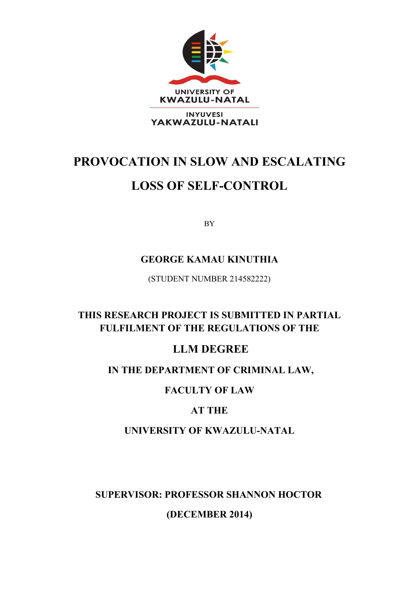

# **PROVOCATION IN SLOW AND ESCALATING**

# **LOSS OF SELF-CONTROL**

BY

# **GEORGE KAMAU KINUTHIA**

(STUDENT NUMBER 214582222)

# **THIS RESEARCH PROJECT IS SUBMITTED IN PARTIAL FULFILMENT OF THE REGULATIONS OF THE**

# **LLM DEGREE**

# **IN THE DEPARTMENT OF CRIMINAL LAW,**

# **FACULTY OF LAW**

# **AT THE**

# **UNIVERSITY OF KWAZULU-NATAL**

# **SUPERVISOR: PROFESSOR SHANNON HOCTOR**

**(DECEMBER 2014)**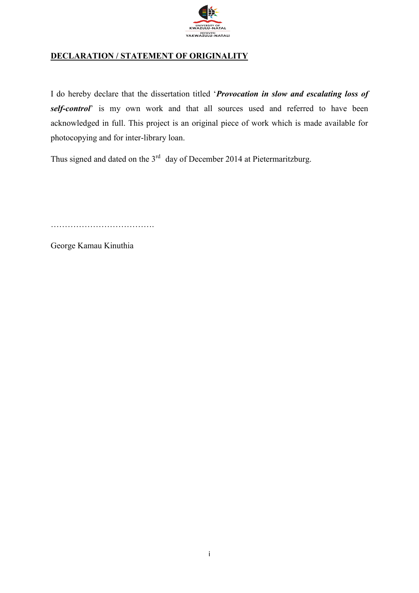

### **DECLARATION / STATEMENT OF ORIGINALITY**

I do hereby declare that the dissertation titled '*Provocation in slow and escalating loss of self-control*' is my own work and that all sources used and referred to have been acknowledged in full. This project is an original piece of work which is made available for photocopying and for inter-library loan.

Thus signed and dated on the  $3<sup>rd</sup>$  day of December 2014 at Pietermaritzburg.

……………………………….

George Kamau Kinuthia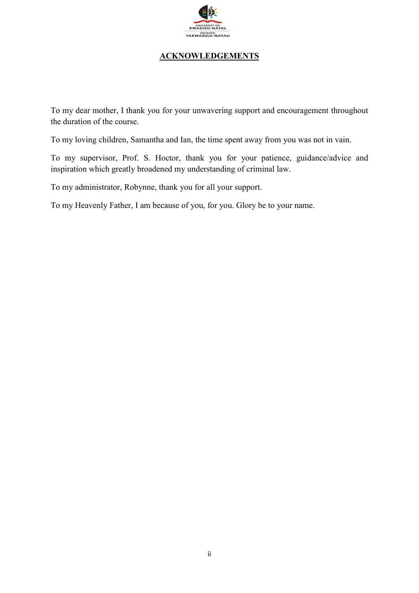

### **ACKNOWLEDGEMENTS**

To my dear mother, I thank you for your unwavering support and encouragement throughout the duration of the course.

To my loving children, Samantha and Ian, the time spent away from you was not in vain.

To my supervisor, Prof. S. Hoctor, thank you for your patience, guidance/advice and inspiration which greatly broadened my understanding of criminal law.

To my administrator, Robynne, thank you for all your support.

To my Heavenly Father, I am because of you, for you. Glory be to your name.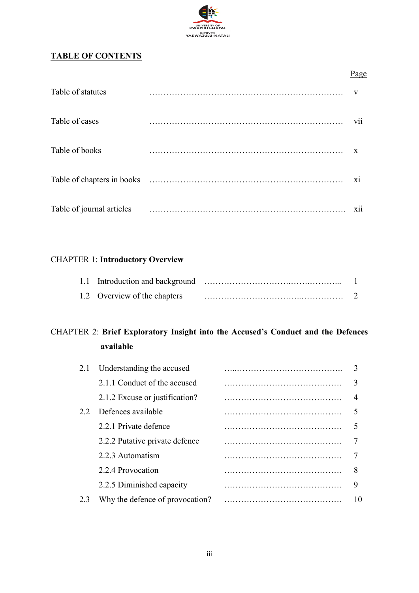

### **TABLE OF CONTENTS**

|                           | Page         |
|---------------------------|--------------|
| Table of statutes         | $\mathbf{V}$ |
| Table of cases            | <b>V11</b>   |
| Table of books            | X            |
|                           | X1           |
| Table of journal articles | <b>X11</b>   |

## CHAPTER 1: **Introductory Overview**

| 1.2 Overview of the chapters |  |
|------------------------------|--|

# CHAPTER 2: **Brief Exploratory Insight into the Accused's Conduct and the Defences available**

| 9  |
|----|
| 10 |
|    |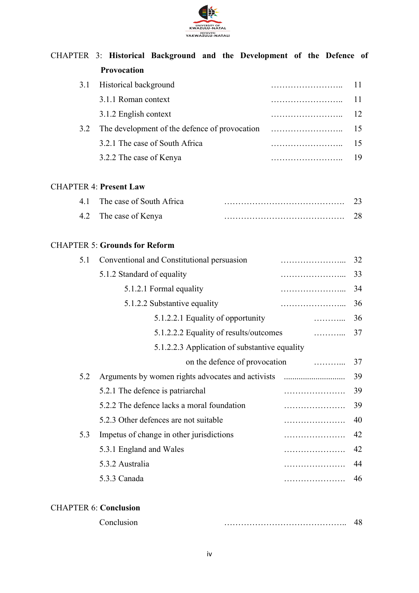

|     | CHAPTER 3: Historical Background and the Development of the Defence of |   |    |
|-----|------------------------------------------------------------------------|---|----|
|     | Provocation                                                            |   |    |
| 3.1 | Historical background                                                  |   | 11 |
|     | 3.1.1 Roman context                                                    |   | 11 |
|     | 3.1.2 English context                                                  |   | 12 |
| 3.2 | The development of the defence of provocation                          |   | 15 |
|     | 3.2.1 The case of South Africa                                         |   | 15 |
|     | 3.2.2 The case of Kenya                                                |   | 19 |
|     | <b>CHAPTER 4: Present Law</b>                                          |   |    |
| 4.1 | The case of South Africa                                               |   | 23 |
| 4.2 | The case of Kenya                                                      |   | 28 |
|     | <b>CHAPTER 5: Grounds for Reform</b>                                   |   |    |
| 5.1 | Conventional and Constitutional persuasion                             |   | 32 |
|     | 5.1.2 Standard of equality                                             |   | 33 |
|     | 5.1.2.1 Formal equality                                                |   | 34 |
|     | 5.1.2.2 Substantive equality                                           |   | 36 |
|     | 5.1.2.2.1 Equality of opportunity                                      | . | 36 |
|     | 5.1.2.2.2 Equality of results/outcomes                                 | . | 37 |
|     | 5.1.2.2.3 Application of substantive equality                          |   |    |
|     | on the defence of provocation                                          | . | 37 |
| 5.2 |                                                                        |   | 39 |
|     | 5.2.1 The defence is patriarchal                                       |   | 39 |
|     | 5.2.2 The defence lacks a moral foundation                             |   | 39 |
|     | 5.2.3 Other defences are not suitable                                  |   | 40 |
| 5.3 | Impetus of change in other jurisdictions                               |   | 42 |
|     | 5.3.1 England and Wales                                                |   | 42 |
|     | 5.3.2 Australia                                                        |   | 44 |
|     | 5.3.3 Canada                                                           |   | 46 |

### CHAPTER 6: **Conclusion**

| Conclusion |  |
|------------|--|
|            |  |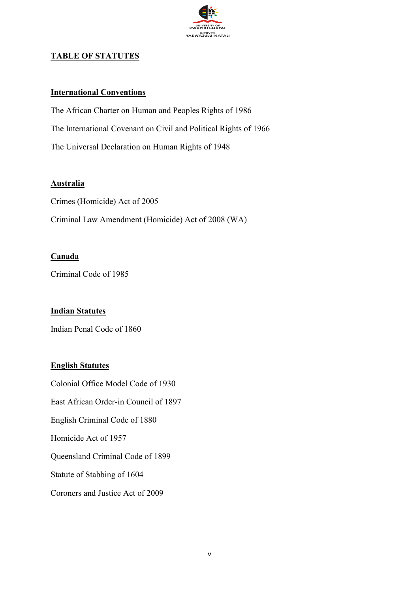

### **TABLE OF STATUTES**

#### **International Conventions**

The African Charter on Human and Peoples Rights of 1986 The International Covenant on Civil and Political Rights of 1966 The Universal Declaration on Human Rights of 1948

#### **Australia**

Crimes (Homicide) Act of 2005 Criminal Law Amendment (Homicide) Act of 2008 (WA)

#### **Canada**

Criminal Code of 1985

#### **Indian Statutes**

Indian Penal Code of 1860

#### **English Statutes**

Colonial Office Model Code of 1930 East African Order-in Council of 1897 English Criminal Code of 1880 Homicide Act of 1957 Queensland Criminal Code of 1899 Statute of Stabbing of 1604 Coroners and Justice Act of 2009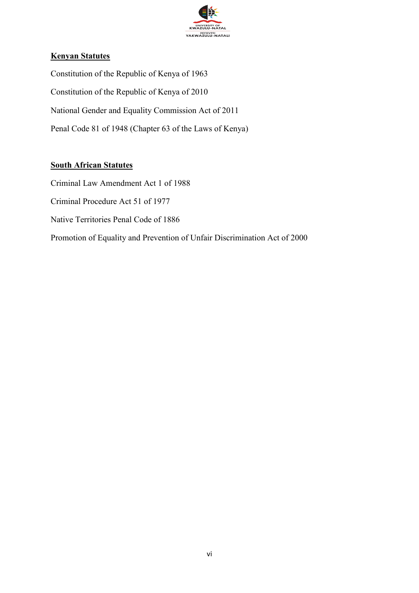

### **Kenyan Statutes**

Constitution of the Republic of Kenya of 1963 Constitution of the Republic of Kenya of 2010 National Gender and Equality Commission Act of 2011 Penal Code 81 of 1948 (Chapter 63 of the Laws of Kenya)

#### **South African Statutes**

Criminal Law Amendment Act 1 of 1988 Criminal Procedure Act 51 of 1977 Native Territories Penal Code of 1886 Promotion of Equality and Prevention of Unfair Discrimination Act of 2000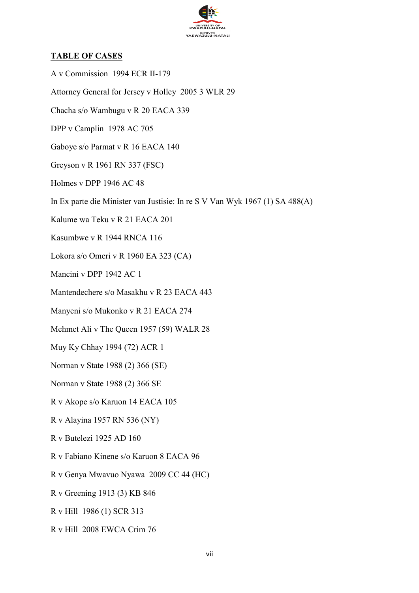

#### **TABLE OF CASES**

A v Commission 1994 ECR II-179 Attorney General for Jersey v Holley 2005 3 WLR 29 Chacha s/o Wambugu v R 20 EACA 339 DPP v Camplin 1978 AC 705 Gaboye s/o Parmat v R 16 EACA 140 Greyson v R 1961 RN 337 (FSC) Holmes v DPP 1946 AC 48 In Ex parte die Minister van Justisie: In re S V Van Wyk 1967 (1) SA 488(A) Kalume wa Teku v R 21 EACA 201 Kasumbwe v R 1944 RNCA 116 Lokora s/o Omeri v R 1960 EA 323 (CA) Mancini v DPP 1942 AC 1 Mantendechere s/o Masakhu v R 23 EACA 443 Manyeni s/o Mukonko v R 21 EACA 274 Mehmet Ali v The Queen 1957 (59) WALR 28 Muy Ky Chhay 1994 (72) ACR 1 Norman v State 1988 (2) 366 (SE) Norman v State 1988 (2) 366 SE R v Akope s/o Karuon 14 EACA 105 R v Alayina 1957 RN 536 (NY) R v Butelezi 1925 AD 160 R v Fabiano Kinene s/o Karuon 8 EACA 96 R v Genya Mwavuo Nyawa 2009 CC 44 (HC) R v Greening 1913 (3) KB 846 R v Hill 1986 (1) SCR 313 R v Hill 2008 EWCA Crim 76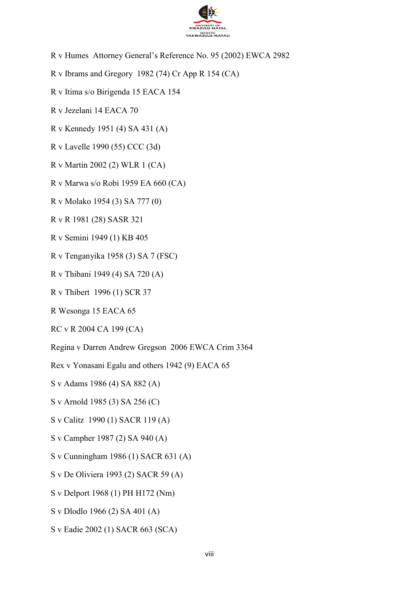

- R v Humes Attorney General's Reference No. 95 (2002) EWCA 2982
- R v Ibrams and Gregory 1982 (74) Cr App R 154 (CA)
- R v Itima s/o Birigenda 15 EACA 154
- R v Jezelani 14 EACA 70
- R v Kennedy 1951 (4) SA 431 (A)
- R v Lavelle 1990 (55) CCC (3d)
- R v Martin 2002 (2) WLR 1 (CA)
- R v Marwa s/o Robi 1959 EA 660 (CA)
- R v Molako 1954 (3) SA 777 (0)
- R v R 1981 (28) SASR 321
- R v Semini 1949 (1) KB 405
- R v Tenganyika 1958 (3) SA 7 (FSC)
- R v Thibani 1949 (4) SA 720 (A)
- R v Thibert 1996 (1) SCR 37
- R Wesonga 15 EACA 65
- RC v R 2004 CA 199 (CA)
- Regina v Darren Andrew Gregson 2006 EWCA Crim 3364
- Rex v Yonasani Egalu and others 1942 (9) EACA 65
- S v Adams 1986 (4) SA 882 (A)
- S v Arnold 1985 (3) SA 256 (C)
- S v Calitz 1990 (1) SACR 119 (A)
- S v Campher 1987 (2) SA 940 (A)
- S v Cunningham 1986 (1) SACR 631 (A)
- S v De Oliviera 1993 (2) SACR 59 (A)
- S v Delport 1968 (1) PH H172 (Nm)
- S v Dlodlo 1966 (2) SA 401 (A)
- S v Eadie 2002 (1) SACR 663 (SCA)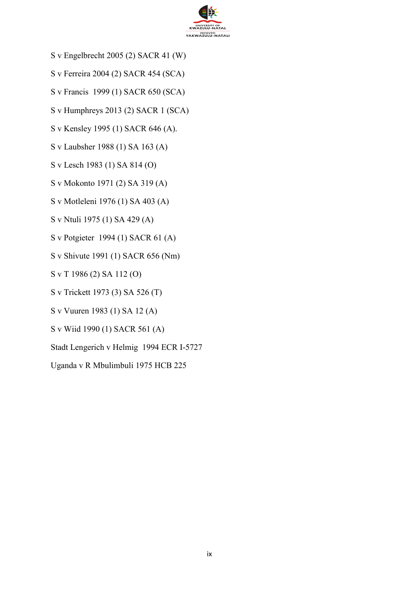

- S v Engelbrecht 2005 (2) SACR 41 (W)
- S v Ferreira 2004 (2) SACR 454 (SCA)
- S v Francis 1999 (1) SACR 650 (SCA)
- S v Humphreys 2013 (2) SACR 1 (SCA)
- S v Kensley 1995 (1) SACR 646 (A).
- S v Laubsher 1988 (1) SA 163 (A)
- S v Lesch 1983 (1) SA 814 (O)
- S v Mokonto 1971 (2) SA 319 (A)
- S v Motleleni 1976 (1) SA 403 (A)
- S v Ntuli 1975 (1) SA 429 (A)
- S v Potgieter 1994 (1) SACR 61 (A)
- S v Shivute 1991 (1) SACR 656 (Nm)
- S v T 1986 (2) SA 112 (O)
- S v Trickett 1973 (3) SA 526 (T)
- S v Vuuren 1983 (1) SA 12 (A)
- S v Wiid 1990 (1) SACR 561 (A)
- Stadt Lengerich v Helmig 1994 ECR I-5727
- Uganda v R Mbulimbuli 1975 HCB 225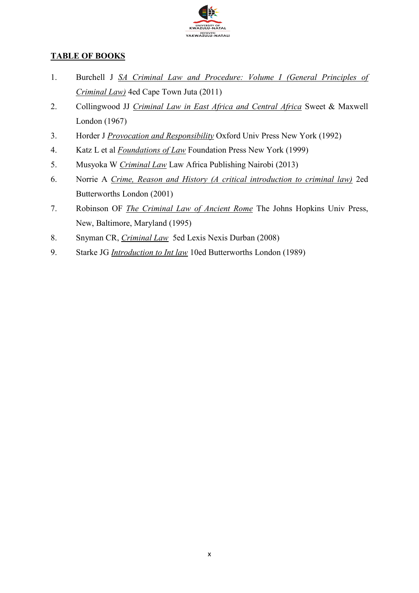

### **TABLE OF BOOKS**

- 1. Burchell J *SA Criminal Law and Procedure: Volume I (General Principles of Criminal Law)* 4ed Cape Town Juta (2011)
- 2. Collingwood JJ *Criminal Law in East Africa and Central Africa* Sweet & Maxwell London (1967)
- 3. Horder J *Provocation and Responsibility* Oxford Univ Press New York (1992)
- 4. Katz L et al *Foundations of Law* Foundation Press New York (1999)
- 5. Musyoka W *Criminal Law* Law Africa Publishing Nairobi (2013)
- 6. Norrie A *Crime, Reason and History (A critical introduction to criminal law)* 2ed Butterworths London (2001)
- 7. Robinson OF *The Criminal Law of Ancient Rome* The Johns Hopkins Univ Press, New, Baltimore, Maryland (1995)
- 8. Snyman CR, *Criminal Law* 5ed Lexis Nexis Durban (2008)
- 9. Starke JG *Introduction to Int law* 10ed Butterworths London (1989)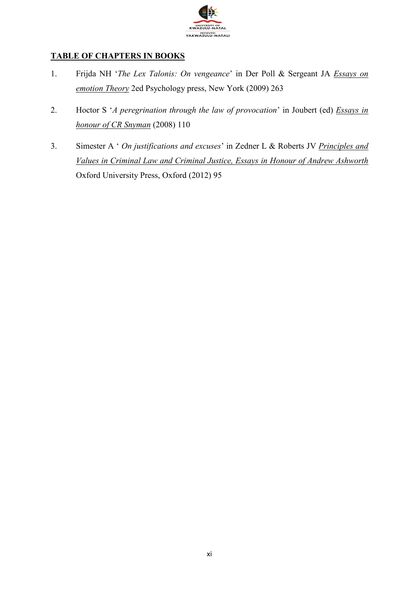

### **TABLE OF CHAPTERS IN BOOKS**

- 1. Frijda NH '*The Lex Talonis: On vengeance*' in Der Poll & Sergeant JA *Essays on emotion Theory* 2ed Psychology press, New York (2009) 263
- 2. Hoctor S '*A peregrination through the law of provocation*' in Joubert (ed) *Essays in honour of CR Snyman* (2008) 110
- 3. Simester A ' *On justifications and excuses*' in Zedner L & Roberts JV *Principles and Values in Criminal Law and Criminal Justice, Essays in Honour of Andrew Ashworth* Oxford University Press, Oxford (2012) 95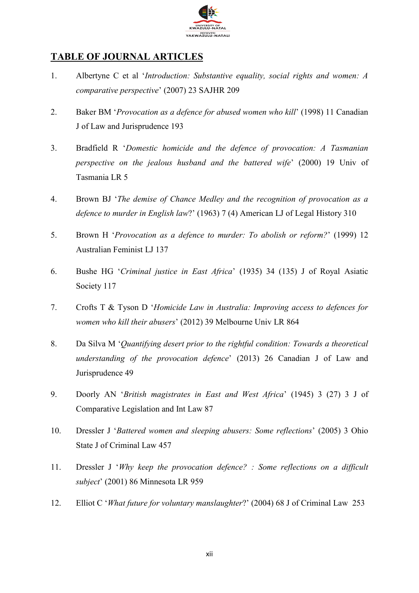

### **TABLE OF JOURNAL ARTICLES**

- 1. Albertyne C et al '*Introduction: Substantive equality, social rights and women: A comparative perspective*' (2007) 23 SAJHR 209
- 2. Baker BM '*Provocation as a defence for abused women who kill*' (1998) 11 Canadian J of Law and Jurisprudence 193
- 3. Bradfield R '*Domestic homicide and the defence of provocation: A Tasmanian perspective on the jealous husband and the battered wife*' (2000) 19 Univ of Tasmania LR 5
- 4. Brown BJ '*The demise of Chance Medley and the recognition of provocation as a defence to murder in English law*?' (1963) 7 (4) American LJ of Legal History 310
- 5. Brown H '*Provocation as a defence to murder: To abolish or reform?*' (1999) 12 Australian Feminist LJ 137
- 6. Bushe HG '*Criminal justice in East Africa*' (1935) 34 (135) J of Royal Asiatic Society 117
- 7. Crofts T & Tyson D '*Homicide Law in Australia: Improving access to defences for women who kill their abusers*' (2012) 39 Melbourne Univ LR 864
- 8. Da Silva M '*Quantifying desert prior to the rightful condition: Towards a theoretical understanding of the provocation defence*' (2013) 26 Canadian J of Law and Jurisprudence 49
- 9. Doorly AN '*British magistrates in East and West Africa*' (1945) 3 (27) 3 J of Comparative Legislation and Int Law 87
- 10. Dressler J '*Battered women and sleeping abusers: Some reflections*' (2005) 3 Ohio State J of Criminal Law 457
- 11. Dressler J '*Why keep the provocation defence? : Some reflections on a difficult subject*' (2001) 86 Minnesota LR 959
- 12. Elliot C '*What future for voluntary manslaughter*?' (2004) 68 J of Criminal Law 253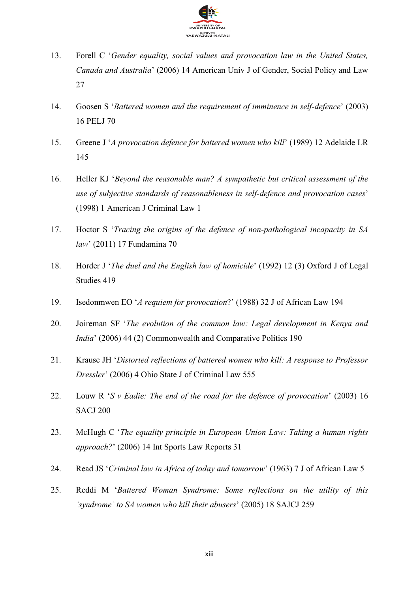

- 13. Forell C '*Gender equality, social values and provocation law in the United States, Canada and Australia*' (2006) 14 American Univ J of Gender, Social Policy and Law 27
- 14. Goosen S '*Battered women and the requirement of imminence in self-defence*' (2003) 16 PELJ 70
- 15. Greene J '*A provocation defence for battered women who kill*' (1989) 12 Adelaide LR 145
- 16. Heller KJ '*Beyond the reasonable man? A sympathetic but critical assessment of the use of subjective standards of reasonableness in self-defence and provocation cases*' (1998) 1 American J Criminal Law 1
- 17. Hoctor S '*Tracing the origins of the defence of non-pathological incapacity in SA law*' (2011) 17 Fundamina 70
- 18. Horder J '*The duel and the English law of homicide*' (1992) 12 (3) Oxford J of Legal Studies 419
- 19. Isedonmwen EO '*A requiem for provocation*?' (1988) 32 J of African Law 194
- 20. Joireman SF '*The evolution of the common law: Legal development in Kenya and India*' (2006) 44 (2) Commonwealth and Comparative Politics 190
- 21. Krause JH '*Distorted reflections of battered women who kill: A response to Professor Dressler*' (2006) 4 Ohio State J of Criminal Law 555
- 22. Louw R '*S v Eadie: The end of the road for the defence of provocation*' (2003) 16 SACJ 200
- 23. McHugh C '*The equality principle in European Union Law: Taking a human rights approach?*' (2006) 14 Int Sports Law Reports 31
- 24. Read JS '*Criminal law in Africa of today and tomorrow*' (1963) 7 J of African Law 5
- 25. Reddi M '*Battered Woman Syndrome: Some reflections on the utility of this 'syndrome' to SA women who kill their abusers*' (2005) 18 SAJCJ 259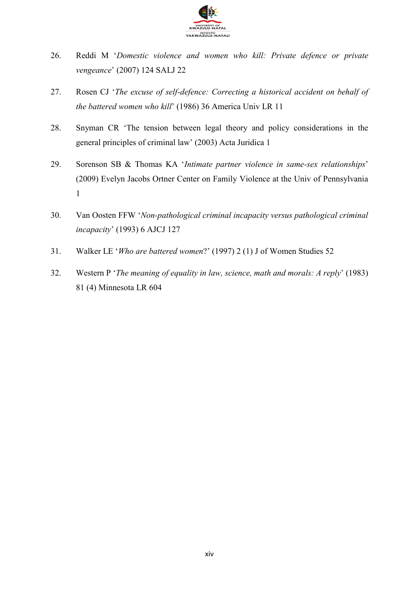

- 26. Reddi M '*Domestic violence and women who kill: Private defence or private vengeance*' (2007) 124 SALJ 22
- 27. Rosen CJ '*The excuse of self-defence: Correcting a historical accident on behalf of the battered women who kill*' (1986) 36 America Univ LR 11
- 28. Snyman CR 'The tension between legal theory and policy considerations in the general principles of criminal law' (2003) Acta Juridica 1
- 29. Sorenson SB & Thomas KA '*Intimate partner violence in same-sex relationships*' (2009) Evelyn Jacobs Ortner Center on Family Violence at the Univ of Pennsylvania 1
- 30. Van Oosten FFW '*Non-pathological criminal incapacity versus pathological criminal incapacity*' (1993) 6 AJCJ 127
- 31. Walker LE '*Who are battered women*?' (1997) 2 (1) J of Women Studies 52
- 32. Western P '*The meaning of equality in law, science, math and morals: A reply*' (1983) 81 (4) Minnesota LR 604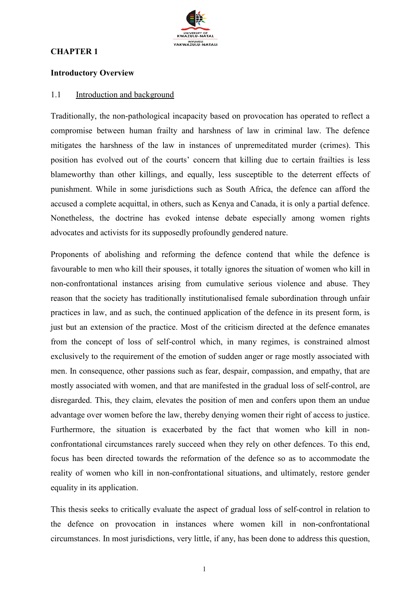#### **CHAPTER 1**



#### **Introductory Overview**

#### 1.1 Introduction and background

Traditionally, the non-pathological incapacity based on provocation has operated to reflect a compromise between human frailty and harshness of law in criminal law. The defence mitigates the harshness of the law in instances of unpremeditated murder (crimes). This position has evolved out of the courts' concern that killing due to certain frailties is less blameworthy than other killings, and equally, less susceptible to the deterrent effects of punishment. While in some jurisdictions such as South Africa, the defence can afford the accused a complete acquittal, in others, such as Kenya and Canada, it is only a partial defence. Nonetheless, the doctrine has evoked intense debate especially among women rights advocates and activists for its supposedly profoundly gendered nature.

Proponents of abolishing and reforming the defence contend that while the defence is favourable to men who kill their spouses, it totally ignores the situation of women who kill in non-confrontational instances arising from cumulative serious violence and abuse. They reason that the society has traditionally institutionalised female subordination through unfair practices in law, and as such, the continued application of the defence in its present form, is just but an extension of the practice. Most of the criticism directed at the defence emanates from the concept of loss of self-control which, in many regimes, is constrained almost exclusively to the requirement of the emotion of sudden anger or rage mostly associated with men. In consequence, other passions such as fear, despair, compassion, and empathy, that are mostly associated with women, and that are manifested in the gradual loss of self-control, are disregarded. This, they claim, elevates the position of men and confers upon them an undue advantage over women before the law, thereby denying women their right of access to justice. Furthermore, the situation is exacerbated by the fact that women who kill in nonconfrontational circumstances rarely succeed when they rely on other defences. To this end, focus has been directed towards the reformation of the defence so as to accommodate the reality of women who kill in non-confrontational situations, and ultimately, restore gender equality in its application.

This thesis seeks to critically evaluate the aspect of gradual loss of self-control in relation to the defence on provocation in instances where women kill in non-confrontational circumstances. In most jurisdictions, very little, if any, has been done to address this question,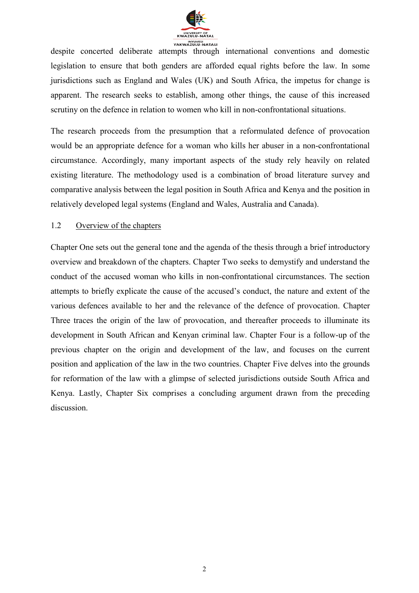

despite concerted deliberate attempts through international conventions and domestic legislation to ensure that both genders are afforded equal rights before the law. In some jurisdictions such as England and Wales (UK) and South Africa, the impetus for change is apparent. The research seeks to establish, among other things, the cause of this increased scrutiny on the defence in relation to women who kill in non-confrontational situations.

The research proceeds from the presumption that a reformulated defence of provocation would be an appropriate defence for a woman who kills her abuser in a non-confrontational circumstance. Accordingly, many important aspects of the study rely heavily on related existing literature. The methodology used is a combination of broad literature survey and comparative analysis between the legal position in South Africa and Kenya and the position in relatively developed legal systems (England and Wales, Australia and Canada).

#### 1.2 Overview of the chapters

Chapter One sets out the general tone and the agenda of the thesis through a brief introductory overview and breakdown of the chapters. Chapter Two seeks to demystify and understand the conduct of the accused woman who kills in non-confrontational circumstances. The section attempts to briefly explicate the cause of the accused's conduct, the nature and extent of the various defences available to her and the relevance of the defence of provocation. Chapter Three traces the origin of the law of provocation, and thereafter proceeds to illuminate its development in South African and Kenyan criminal law. Chapter Four is a follow-up of the previous chapter on the origin and development of the law, and focuses on the current position and application of the law in the two countries. Chapter Five delves into the grounds for reformation of the law with a glimpse of selected jurisdictions outside South Africa and Kenya. Lastly, Chapter Six comprises a concluding argument drawn from the preceding discussion.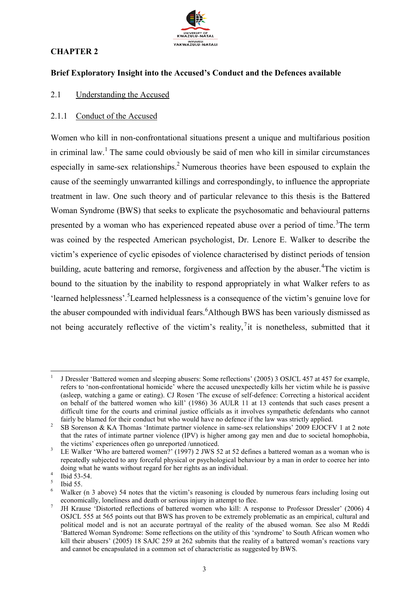

### **CHAPTER 2**

#### **Brief Exploratory Insight into the Accused's Conduct and the Defences available**

2.1 Understanding the Accused

#### 2.1.1 Conduct of the Accused

Women who kill in non-confrontational situations present a unique and multifarious position in criminal law.<sup>1</sup> The same could obviously be said of men who kill in similar circumstances especially in same-sex relationships.<sup>2</sup> Numerous theories have been espoused to explain the cause of the seemingly unwarranted killings and correspondingly, to influence the appropriate treatment in law. One such theory and of particular relevance to this thesis is the Battered Woman Syndrome (BWS) that seeks to explicate the psychosomatic and behavioural patterns presented by a woman who has experienced repeated abuse over a period of time.<sup>3</sup>The term was coined by the respected American psychologist, Dr. Lenore E. Walker to describe the victim's experience of cyclic episodes of violence characterised by distinct periods of tension building, acute battering and remorse, forgiveness and affection by the abuser.<sup>4</sup>The victim is bound to the situation by the inability to respond appropriately in what Walker refers to as 'learned helplessness'.<sup>5</sup>Learned helplessness is a consequence of the victim's genuine love for the abuser compounded with individual fears.<sup>6</sup>Although BWS has been variously dismissed as not being accurately reflective of the victim's reality,  $\overline{a}$  it is nonetheless, submitted that it

1

<sup>1</sup> J Dressler 'Battered women and sleeping abusers: Some reflections' (2005) 3 OSJCL 457 at 457 for example, refers to 'non-confrontational homicide' where the accused unexpectedly kills her victim while he is passive (asleep, watching a game or eating). CJ Rosen 'The excuse of self-defence: Correcting a historical accident on behalf of the battered women who kill' (1986) 36 AULR 11 at 13 contends that such cases present a difficult time for the courts and criminal justice officials as it involves sympathetic defendants who cannot fairly be blamed for their conduct but who would have no defence if the law was strictly applied.

<sup>2</sup> SB Sorenson & KA Thomas 'Intimate partner violence in same-sex relationships' 2009 EJOCFV 1 at 2 note that the rates of intimate partner violence (IPV) is higher among gay men and due to societal homophobia, the victims' experiences often go unreported /unnoticed.

<sup>3</sup> LE Walker 'Who are battered women?' (1997) 2 JWS 52 at 52 defines a battered woman as a woman who is repeatedly subjected to any forceful physical or psychological behaviour by a man in order to coerce her into doing what he wants without regard for her rights as an individual.

<sup>4</sup> Ibid 53-54.

<sup>5</sup> Ibid 55.

<sup>6</sup> Walker (n 3 above) 54 notes that the victim's reasoning is clouded by numerous fears including losing out economically, loneliness and death or serious injury in attempt to flee.

<sup>7</sup> JH Krause 'Distorted reflections of battered women who kill: A response to Professor Dressler' (2006) 4 OSJCL 555 at 565 points out that BWS has proven to be extremely problematic as an empirical, cultural and political model and is not an accurate portrayal of the reality of the abused woman. See also M Reddi 'Battered Woman Syndrome: Some reflections on the utility of this 'syndrome' to South African women who kill their abusers' (2005) 18 SAJC 259 at 262 submits that the reality of a battered woman's reactions vary and cannot be encapsulated in a common set of characteristic as suggested by BWS.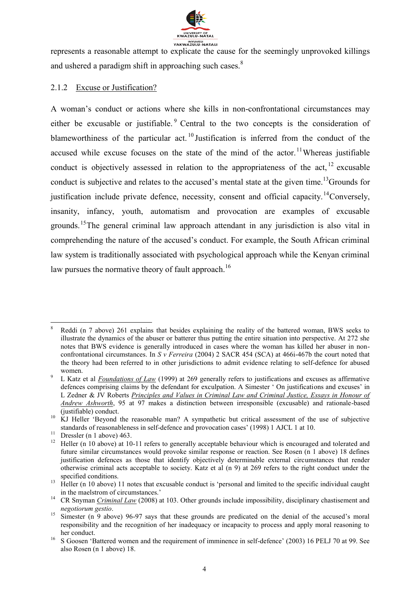

represents a reasonable attempt to explicate the cause for the seemingly unprovoked killings and ushered a paradigm shift in approaching such cases.<sup>8</sup>

#### 2.1.2 Excuse or Justification?

A woman's conduct or actions where she kills in non-confrontational circumstances may either be excusable or justifiable.  $\degree$  Central to the two concepts is the consideration of blameworthiness of the particular act.<sup>10</sup> Justification is inferred from the conduct of the accused while excuse focuses on the state of the mind of the actor.<sup>11</sup>Whereas justifiable conduct is objectively assessed in relation to the appropriateness of the act,  $^{12}$  excusable conduct is subjective and relates to the accused's mental state at the given time.<sup>13</sup>Grounds for justification include private defence, necessity, consent and official capacity.<sup>14</sup>Conversely, insanity, infancy, youth, automatism and provocation are examples of excusable grounds.<sup>15</sup>The general criminal law approach attendant in any jurisdiction is also vital in comprehending the nature of the accused's conduct. For example, the South African criminal law system is traditionally associated with psychological approach while the Kenyan criminal law pursues the normative theory of fault approach.<sup>16</sup>

**<sup>.</sup>** 8 Reddi (n 7 above) 261 explains that besides explaining the reality of the battered woman, BWS seeks to illustrate the dynamics of the abuser or batterer thus putting the entire situation into perspective. At 272 she notes that BWS evidence is generally introduced in cases where the woman has killed her abuser in nonconfrontational circumstances. In *S v Ferreira* (2004) 2 SACR 454 (SCA) at 466i-467b the court noted that the theory had been referred to in other jurisdictions to admit evidence relating to self-defence for abused women.

 $\overline{Q}$  L Katz et al *Foundations of Law* (1999) at 269 generally refers to justifications and excuses as affirmative defences comprising claims by the defendant for exculpation. A Simester ' On justifications and excuses' in L Zedner & JV Roberts *Principles and Values in Criminal Law and Criminal Justice, Essays in Honour of Andrew Ashworth*, 95 at 97 makes a distinction between irresponsible (excusable) and rationale-based (justifiable) conduct.

<sup>&</sup>lt;sup>10</sup> KJ Heller 'Beyond the reasonable man? A sympathetic but critical assessment of the use of subjective standards of reasonableness in self-defence and provocation cases' (1998) 1 AJCL 1 at 10.

<sup>&</sup>lt;sup>11</sup> Dressler (n 1 above) 463.<br><sup>12</sup> Heller (n 10 above) at 10

<sup>12</sup> Heller (n 10 above) at 10-11 refers to generally acceptable behaviour which is encouraged and tolerated and future similar circumstances would provoke similar response or reaction. See Rosen (n 1 above) 18 defines justification defences as those that identify objectively determinable external circumstances that render otherwise criminal acts acceptable to society. Katz et al (n 9) at 269 refers to the right conduct under the specified conditions.

<sup>&</sup>lt;sup>13</sup> Heller (n 10 above) 11 notes that excusable conduct is 'personal and limited to the specific individual caught in the maelstrom of circumstances.'

<sup>&</sup>lt;sup>14</sup> CR Snyman *Criminal Law* (2008) at 103. Other grounds include impossibility, disciplinary chastisement and *negotiorum gestio*.

<sup>&</sup>lt;sup>15</sup> Simester (n 9 above) 96-97 says that these grounds are predicated on the denial of the accused's moral responsibility and the recognition of her inadequacy or incapacity to process and apply moral reasoning to her conduct.

<sup>&</sup>lt;sup>16</sup> S Goosen 'Battered women and the requirement of imminence in self-defence' (2003) 16 PELJ 70 at 99. See also Rosen (n 1 above) 18.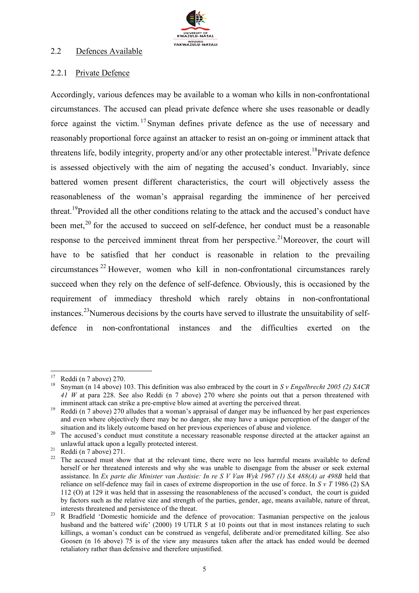

#### 2.2 Defences Available

#### 2.2.1 Private Defence

Accordingly, various defences may be available to a woman who kills in non-confrontational circumstances. The accused can plead private defence where she uses reasonable or deadly force against the victim. <sup>17</sup> Snyman defines private defence as the use of necessary and reasonably proportional force against an attacker to resist an on-going or imminent attack that threatens life, bodily integrity, property and/or any other protectable interest.<sup>18</sup>Private defence is assessed objectively with the aim of negating the accused's conduct. Invariably, since battered women present different characteristics, the court will objectively assess the reasonableness of the woman's appraisal regarding the imminence of her perceived threat.<sup>19</sup>Provided all the other conditions relating to the attack and the accused's conduct have been met.<sup>20</sup> for the accused to succeed on self-defence, her conduct must be a reasonable response to the perceived imminent threat from her perspective.<sup>21</sup>Moreover, the court will have to be satisfied that her conduct is reasonable in relation to the prevailing circumstances <sup>22</sup> However, women who kill in non-confrontational circumstances rarely succeed when they rely on the defence of self-defence. Obviously, this is occasioned by the requirement of immediacy threshold which rarely obtains in non-confrontational instances.<sup>23</sup>Numerous decisions by the courts have served to illustrate the unsuitability of selfdefence in non-confrontational instances and the difficulties exerted on the

<sup>17</sup> Reddi (n 7 above) 270.

<sup>18</sup> Snyman (n 14 above) 103. This definition was also embraced by the court in *S v Engelbrecht 2005 (2) SACR 41 W* at para 228. See also Reddi (n 7 above) 270 where she points out that a person threatened with imminent attack can strike a pre-emptive blow aimed at averting the perceived threat.

<sup>&</sup>lt;sup>19</sup> Reddi (n 7 above) 270 alludes that a woman's appraisal of danger may be influenced by her past experiences and even where objectively there may be no danger, she may have a unique perception of the danger of the situation and its likely outcome based on her previous experiences of abuse and violence.

<sup>&</sup>lt;sup>20</sup> The accused's conduct must constitute a necessary reasonable response directed at the attacker against an unlawful attack upon a legally protected interest.

 $^{21}$  Reddi (n 7 above) 271.

The accused must show that at the relevant time, there were no less harmful means available to defend herself or her threatened interests and why she was unable to disengage from the abuser or seek external assistance. In *Ex parte die Minister van Justisie: In re S V Van Wyk 1967 (1) SA 488(A) at 498B* held that reliance on self-defence may fail in cases of extreme disproportion in the use of force. In *S v T* 1986 (2) SA 112 (O) at 129 it was held that in assessing the reasonableness of the accused's conduct, the court is guided by factors such as the relative size and strength of the parties, gender, age, means available, nature of threat, interests threatened and persistence of the threat.

<sup>&</sup>lt;sup>23</sup> R Bradfield 'Domestic homicide and the defence of provocation: Tasmanian perspective on the jealous husband and the battered wife' (2000) 19 UTLR 5 at 10 points out that in most instances relating to such killings, a woman's conduct can be construed as vengeful, deliberate and/or premeditated killing. See also Goosen (n 16 above) 75 is of the view any measures taken after the attack has ended would be deemed retaliatory rather than defensive and therefore unjustified.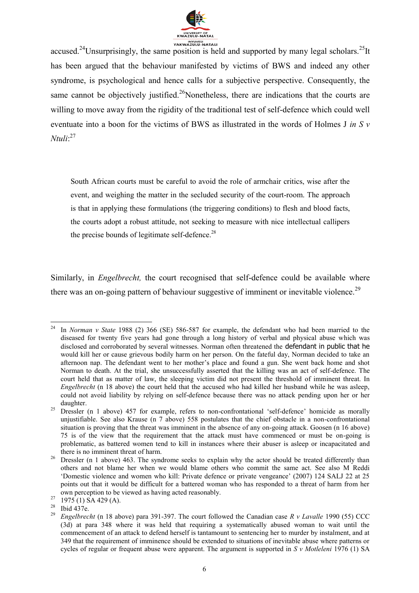

accused.<sup>24</sup>Unsurprisingly, the same position is held and supported by many legal scholars.<sup>25</sup>It has been argued that the behaviour manifested by victims of BWS and indeed any other syndrome, is psychological and hence calls for a subjective perspective. Consequently, the same cannot be objectively justified.<sup>26</sup>Nonetheless, there are indications that the courts are willing to move away from the rigidity of the traditional test of self-defence which could well eventuate into a boon for the victims of BWS as illustrated in the words of Holmes J *in S v Ntuli*: 27

South African courts must be careful to avoid the role of armchair critics, wise after the event, and weighing the matter in the secluded security of the court-room. The approach is that in applying these formulations (the triggering conditions) to flesh and blood facts, the courts adopt a robust attitude, not seeking to measure with nice intellectual callipers the precise bounds of legitimate self-defence.<sup>28</sup>

Similarly, in *Engelbrecht*, the court recognised that self-defence could be available where there was an on-going pattern of behaviour suggestive of imminent or inevitable violence.<sup>29</sup>

<sup>24</sup> <sup>24</sup> In *Norman v State* 1988 (2) 366 (SE) 586-587 for example, the defendant who had been married to the diseased for twenty five years had gone through a long history of verbal and physical abuse which was disclosed and corroborated by several witnesses. Norman often threatened the defendant in public that he would kill her or cause grievous bodily harm on her person. On the fateful day, Norman decided to take an afternoon nap. The defendant went to her mother's place and found a gun. She went back home and shot Norman to death. At the trial, she unsuccessfully asserted that the killing was an act of self-defence. The court held that as matter of law, the sleeping victim did not present the threshold of imminent threat. In *Engelbrecht* (n 18 above) the court held that the accused who had killed her husband while he was asleep, could not avoid liability by relying on self-defence because there was no attack pending upon her or her daughter.

<sup>&</sup>lt;sup>25</sup> Dressler (n 1 above) 457 for example, refers to non-confrontational 'self-defence' homicide as morally unjustifiable. See also Krause (n 7 above) 558 postulates that the chief obstacle in a non-confrontational situation is proving that the threat was imminent in the absence of any on-going attack. Goosen (n 16 above) 75 is of the view that the requirement that the attack must have commenced or must be on-going is problematic, as battered women tend to kill in instances where their abuser is asleep or incapacitated and there is no imminent threat of harm.

<sup>&</sup>lt;sup>26</sup> Dressler (n 1 above) 463. The syndrome seeks to explain why the actor should be treated differently than others and not blame her when we would blame others who commit the same act. See also M Reddi 'Domestic violence and women who kill: Private defence or private vengeance' (2007) 124 SALJ 22 at 25 points out that it would be difficult for a battered woman who has responded to a threat of harm from her own perception to be viewed as having acted reasonably.

 $27 \frac{\text{own power}}{1975 \text{ (1) SA }429 \text{ (A)}}$ .

<sup>28</sup> Ibid 437e.

<sup>29</sup> *Engelbrecht* (n 18 above) para 391-397. The court followed the Canadian case *R v Lavalle* 1990 (55) CCC (3d) at para 348 where it was held that requiring a systematically abused woman to wait until the commencement of an attack to defend herself is tantamount to sentencing her to murder by instalment, and at 349 that the requirement of imminence should be extended to situations of inevitable abuse where patterns or cycles of regular or frequent abuse were apparent. The argument is supported in *S v Motleleni* 1976 (1) SA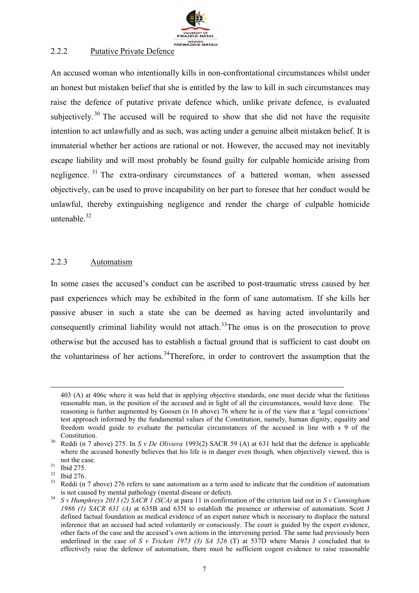

#### 2.2.2 Putative Private Defence

An accused woman who intentionally kills in non-confrontational circumstances whilst under an honest but mistaken belief that she is entitled by the law to kill in such circumstances may raise the defence of putative private defence which, unlike private defence, is evaluated subjectively.<sup>30</sup> The accused will be required to show that she did not have the requisite intention to act unlawfully and as such, was acting under a genuine albeit mistaken belief. It is immaterial whether her actions are rational or not. However, the accused may not inevitably escape liability and will most probably be found guilty for culpable homicide arising from negligence. <sup>31</sup> The extra-ordinary circumstances of a battered woman, when assessed objectively, can be used to prove incapability on her part to foresee that her conduct would be unlawful, thereby extinguishing negligence and render the charge of culpable homicide untenable  $32$ 

#### 2.2.3 Automatism

In some cases the accused's conduct can be ascribed to post-traumatic stress caused by her past experiences which may be exhibited in the form of sane automatism. If she kills her passive abuser in such a state she can be deemed as having acted involuntarily and consequently criminal liability would not attach.<sup>33</sup>The onus is on the prosecution to prove otherwise but the accused has to establish a factual ground that is sufficient to cast doubt on the voluntariness of her actions.<sup>34</sup>Therefore, in order to controvert the assumption that the

<sup>403 (</sup>A) at 406c where it was held that in applying objective standards, one must decide what the fictitious reasonable man, in the position of the accused and in light of all the circumstances, would have done. The reasoning is further augmented by Goosen (n 16 above) 76 where he is of the view that a 'legal convictions' test approach informed by the fundamental values of the Constitution, namely, human dignity, equality and freedom would guide to evaluate the particular circumstances of the accused in line with s 9 of the Constitution.

<sup>30</sup> Reddi (n 7 above) 275. In *S v De Oliviera* 1993(2) SACR 59 (A) at 631 held that the defence is applicable where the accused honestly believes that his life is in danger even though, when objectively viewed, this is not the case.

 $rac{31}{32}$  Ibid 275.

 $rac{32}{33}$  Ibid 276.

Reddi (n 7 above) 276 refers to sane automatism as a term used to indicate that the condition of automatism is not caused by mental pathology (mental disease or defect).

<sup>34</sup> *S v Humphreys 2013 (2) SACR 1 (SCA)* at para 11 in confirmation of the criterion laid out in *S v Cunningham 1986 (1) SACR 631 (A)* at 635B and 635I to establish the presence or otherwise of automatism. Scott J defined factual foundation as medical evidence of an expert nature which is necessary to displace the natural inference that an accused had acted voluntarily or consciously. The court is guided by the expert evidence, other facts of the case and the accused's own actions in the intervening period. The same had previously been underlined in the case of *S v Trickett 1973 (3) SA 526* (T) at 537D where Marais J concluded that to effectively raise the defence of automatism, there must be sufficient cogent evidence to raise reasonable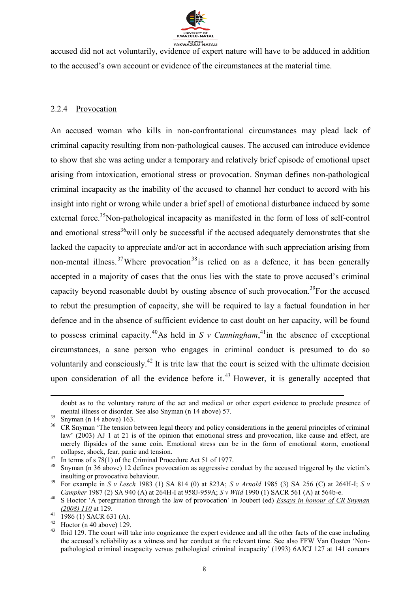

accused did not act voluntarily, evidence of expert nature will have to be adduced in addition to the accused's own account or evidence of the circumstances at the material time.

#### 2.2.4 Provocation

An accused woman who kills in non-confrontational circumstances may plead lack of criminal capacity resulting from non-pathological causes. The accused can introduce evidence to show that she was acting under a temporary and relatively brief episode of emotional upset arising from intoxication, emotional stress or provocation. Snyman defines non-pathological criminal incapacity as the inability of the accused to channel her conduct to accord with his insight into right or wrong while under a brief spell of emotional disturbance induced by some external force.<sup>35</sup>Non-pathological incapacity as manifested in the form of loss of self-control and emotional stress<sup>36</sup>will only be successful if the accused adequately demonstrates that she lacked the capacity to appreciate and/or act in accordance with such appreciation arising from non-mental illness.<sup>37</sup>Where provocation<sup>38</sup> is relied on as a defence, it has been generally accepted in a majority of cases that the onus lies with the state to prove accused's criminal capacity beyond reasonable doubt by ousting absence of such provocation.<sup>39</sup>For the accused to rebut the presumption of capacity, she will be required to lay a factual foundation in her defence and in the absence of sufficient evidence to cast doubt on her capacity, will be found to possess criminal capacity.<sup>40</sup>As held in *S v Cunningham*,<sup>41</sup> in the absence of exceptional circumstances, a sane person who engages in criminal conduct is presumed to do so voluntarily and consciously.<sup>42</sup> It is trite law that the court is seized with the ultimate decision upon consideration of all the evidence before it.<sup>43</sup> However, it is generally accepted that

1

doubt as to the voluntary nature of the act and medical or other expert evidence to preclude presence of mental illness or disorder. See also Snyman (n 14 above) 57.

 $rac{35}{36}$  Snyman (n 14 above) 163.<br> $rac{36}{36}$  CR Snyman 'The tension b

<sup>36</sup> CR Snyman 'The tension between legal theory and policy considerations in the general principles of criminal law' (2003) AJ 1 at 21 is of the opinion that emotional stress and provocation, like cause and effect, are merely flipsides of the same coin. Emotional stress can be in the form of emotional storm, emotional collapse, shock, fear, panic and tension.

 $\frac{37}{10}$  In terms of s 78(1) of the Criminal Procedure Act 51 of 1977.

Snyman (n 36 above) 12 defines provocation as aggressive conduct by the accused triggered by the victim's insulting or provocative behaviour.

<sup>39</sup> For example in *S v Lesch* 1983 (1) SA 814 (0) at 823A; *S v Arnold* 1985 (3) SA 256 (C) at 264H-I; *S v Campher* 1987 (2) SA 940 (A) at 264H-I at 958J-959A; *S v Wiid* 1990 (1) SACR 561 (A) at 564b-e.

<sup>40</sup> S Hoctor 'A peregrination through the law of provocation' in Joubert (ed) *Essays in honour of CR Snyman (2008) 110* at 129.

 $^{41}$  1986 (1) SACR 631 (A).

 $^{42}$  Hoctor (n 40 above) 129.

<sup>43</sup> Ibid 129. The court will take into cognizance the expert evidence and all the other facts of the case including the accused's reliability as a witness and her conduct at the relevant time. See also FFW Van Oosten 'Nonpathological criminal incapacity versus pathological criminal incapacity' (1993) 6AJCJ 127 at 141 concurs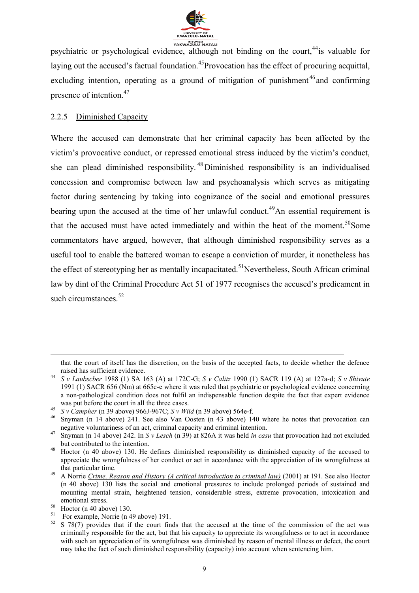

psychiatric or psychological evidence, although not binding on the court.<sup>44</sup>is valuable for laying out the accused's factual foundation.<sup>45</sup>Provocation has the effect of procuring acquittal, excluding intention, operating as a ground of mitigation of punishment<sup>46</sup> and confirming presence of intention.<sup>47</sup>

#### 2.2.5 Diminished Capacity

Where the accused can demonstrate that her criminal capacity has been affected by the victim's provocative conduct, or repressed emotional stress induced by the victim's conduct, she can plead diminished responsibility. <sup>48</sup> Diminished responsibility is an individualised concession and compromise between law and psychoanalysis which serves as mitigating factor during sentencing by taking into cognizance of the social and emotional pressures bearing upon the accused at the time of her unlawful conduct.<sup>49</sup>An essential requirement is that the accused must have acted immediately and within the heat of the moment.<sup>50</sup>Some commentators have argued, however, that although diminished responsibility serves as a useful tool to enable the battered woman to escape a conviction of murder, it nonetheless has the effect of stereotyping her as mentally incapacitated.<sup>51</sup>Nevertheless, South African criminal law by dint of the Criminal Procedure Act 51 of 1977 recognises the accused's predicament in such circumstances  $52$ 

that the court of itself has the discretion, on the basis of the accepted facts, to decide whether the defence raised has sufficient evidence.

<sup>44</sup> *S v Laubscber* 1988 (1) SA 163 (A) at 172C-G; *S v Calitz* 1990 (1) SACR 119 (A) at 127a-d; *S v Shivute* 1991 (1) SACR 656 (Nm) at 665c-e where it was ruled that psychiatric or psychological evidence concerning a non-pathological condition does not fulfil an indispensable function despite the fact that expert evidence was put before the court in all the three cases.

<sup>45</sup> *S v Campher* (n 39 above) 966J-967C; *S v Wiid* (n 39 above) 564e-f.

<sup>&</sup>lt;sup>46</sup> Snyman (n 14 above) 241. See also Van Oosten (n 43 above) 140 where he notes that provocation can negative voluntariness of an act, criminal capacity and criminal intention.

<sup>47</sup> Snyman (n 14 above) 242. In *S v Lesch* (n 39) at 826A it was held *in casu* that provocation had not excluded but contributed to the intention.

<sup>48</sup> Hoctor (n 40 above) 130. He defines diminished responsibility as diminished capacity of the accused to appreciate the wrongfulness of her conduct or act in accordance with the appreciation of its wrongfulness at that particular time.

<sup>49</sup> A Norrie *Crime, Reason and History (A critical introduction to criminal law)* (2001) at 191. See also Hoctor (n 40 above) 130 lists the social and emotional pressures to include prolonged periods of sustained and mounting mental strain, heightened tension, considerable stress, extreme provocation, intoxication and emotional stress.

 $50$  Hoctor (n 40 above) 130.

<sup>&</sup>lt;sup>51</sup> For example, Norrie (n 49 above) 191.

<sup>&</sup>lt;sup>52</sup> S 78(7) provides that if the court finds that the accused at the time of the commission of the act was criminally responsible for the act, but that his capacity to appreciate its wrongfulness or to act in accordance with such an appreciation of its wrongfulness was diminished by reason of mental illness or defect, the court may take the fact of such diminished responsibility (capacity) into account when sentencing him.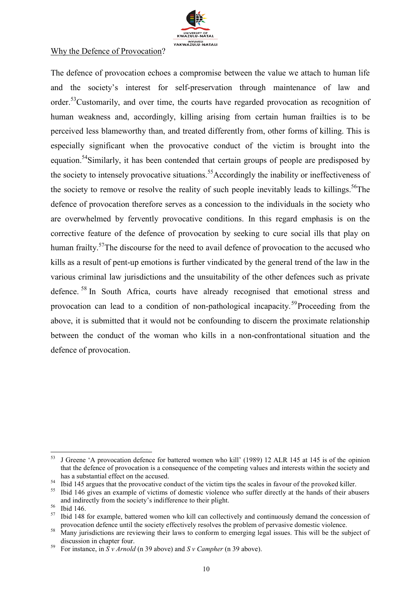

#### Why the Defence of Provocation?

The defence of provocation echoes a compromise between the value we attach to human life and the society's interest for self-preservation through maintenance of law and order.<sup>53</sup>Customarily, and over time, the courts have regarded provocation as recognition of human weakness and, accordingly, killing arising from certain human frailties is to be perceived less blameworthy than, and treated differently from, other forms of killing. This is especially significant when the provocative conduct of the victim is brought into the equation.<sup>54</sup>Similarly, it has been contended that certain groups of people are predisposed by the society to intensely provocative situations.<sup>55</sup>Accordingly the inability or ineffectiveness of the society to remove or resolve the reality of such people inevitably leads to killings.<sup>56</sup>The defence of provocation therefore serves as a concession to the individuals in the society who are overwhelmed by fervently provocative conditions. In this regard emphasis is on the corrective feature of the defence of provocation by seeking to cure social ills that play on human frailty.<sup>57</sup>The discourse for the need to avail defence of provocation to the accused who kills as a result of pent-up emotions is further vindicated by the general trend of the law in the various criminal law jurisdictions and the unsuitability of the other defences such as private defence. <sup>58</sup> In South Africa, courts have already recognised that emotional stress and provocation can lead to a condition of non-pathological incapacity.<sup>59</sup>Proceeding from the above, it is submitted that it would not be confounding to discern the proximate relationship between the conduct of the woman who kills in a non-confrontational situation and the defence of provocation.

<sup>53</sup> J Greene 'A provocation defence for battered women who kill' (1989) 12 ALR 145 at 145 is of the opinion that the defence of provocation is a consequence of the competing values and interests within the society and has a substantial effect on the accused.

 $\frac{54}{100}$  Ibid 145 argues that the provocative conduct of the victim tips the scales in favour of the provoked killer.

<sup>55</sup> Ibid 146 gives an example of victims of domestic violence who suffer directly at the hands of their abusers and indirectly from the society's indifference to their plight.

 $rac{56}{57}$  Ibid 146.

<sup>57</sup> Ibid 148 for example, battered women who kill can collectively and continuously demand the concession of provocation defence until the society effectively resolves the problem of pervasive domestic violence.

<sup>&</sup>lt;sup>58</sup> Many jurisdictions are reviewing their laws to conform to emerging legal issues. This will be the subject of discussion in chapter four.

<sup>59</sup> For instance, in *S v Arnold* (n 39 above) and *S v Campher* (n 39 above).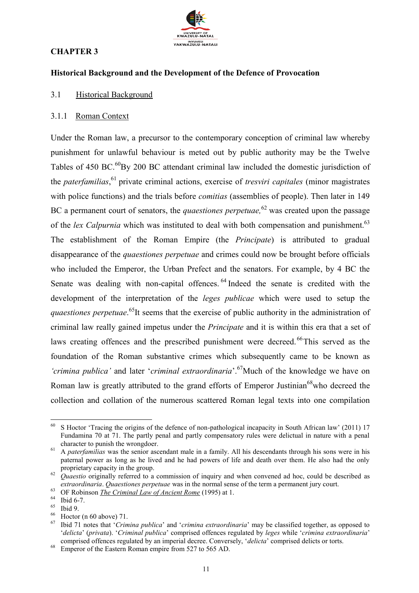# **CHAPTER 3**



#### **Historical Background and the Development of the Defence of Provocation**

#### 3.1 Historical Background

#### 3.1.1 Roman Context

Under the Roman law, a precursor to the contemporary conception of criminal law whereby punishment for unlawful behaviour is meted out by public authority may be the Twelve Tables of 450 BC.<sup>60</sup>By 200 BC attendant criminal law included the domestic jurisdiction of the *paterfamilias*, <sup>61</sup> private criminal actions, exercise of *tresviri capitales* (minor magistrates with police functions) and the trials before *comitias* (assemblies of people). Then later in 149 BC a permanent court of senators, the *quaestiones perpetuae*,<sup>62</sup> was created upon the passage of the *lex Calpurnia* which was instituted to deal with both compensation and punishment.<sup>63</sup> The establishment of the Roman Empire (the *Principate*) is attributed to gradual disappearance of the *quaestiones perpetuae* and crimes could now be brought before officials who included the Emperor, the Urban Prefect and the senators. For example, by 4 BC the Senate was dealing with non-capital offences. <sup>64</sup> Indeed the senate is credited with the development of the interpretation of the *leges publicae* which were used to setup the *quaestiones perpetuae*. <sup>65</sup>It seems that the exercise of public authority in the administration of criminal law really gained impetus under the *Principate* and it is within this era that a set of laws creating offences and the prescribed punishment were decreed. <sup>66</sup>This served as the foundation of the Roman substantive crimes which subsequently came to be known as *'crimina publica'* and later *'criminal extraordinaria'*.<sup>67</sup>Much of the knowledge we have on Roman law is greatly attributed to the grand efforts of Emperor Justinian<sup>68</sup>who decreed the collection and collation of the numerous scattered Roman legal texts into one compilation

<sup>60</sup> S Hoctor 'Tracing the origins of the defence of non-pathological incapacity in South African law' (2011) 17 Fundamina 70 at 71. The partly penal and partly compensatory rules were delictual in nature with a penal character to punish the wrongdoer.

<sup>&</sup>lt;sup>61</sup> A *paterfamilias* was the senior ascendant male in a family. All his descendants through his sons were in his paternal power as long as he lived and he had powers of life and death over them. He also had the only proprietary capacity in the group.

<sup>&</sup>lt;sup>62</sup> *Quaestio* originally referred to a commission of inquiry and when convened ad hoc, could be described as *extraordinaria*. *Quaestiones perpetuae* was in the normal sense of the term a permanent jury court.

<sup>&</sup>lt;sup>63</sup> OF Robinson *The Criminal Law of Ancient Rome* (1995) at 1.

 $^{64}$  Ibid 6-7.

 $^{65}$  Ibid 9.

 $^{66}$  Hoctor (n 60 above) 71.

<sup>67</sup> Ibid 71 notes that '*Crimina publica*' and '*crimina extraordinaria*' may be classified together, as opposed to '*delicta*' (*privata*). '*Criminal publica*' comprised offences regulated by *leges* while '*crimina extraordinaria*' comprised offences regulated by an imperial decree. Conversely, '*delicta*' comprised delicts or torts.

 $68$  Emperor of the Eastern Roman empire from 527 to 565 AD.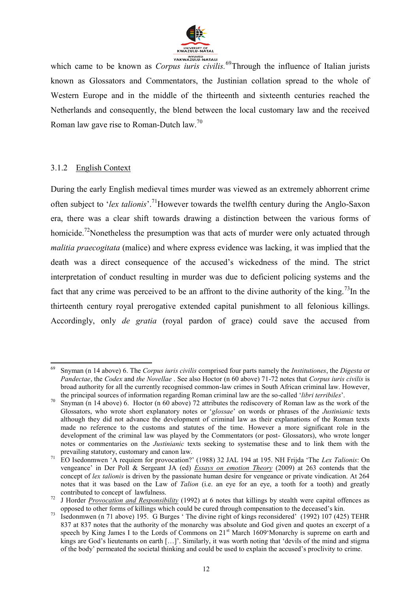

which came to be known as *Corpus iuris civilis*.<sup>69</sup>Through the influence of Italian jurists known as Glossators and Commentators, the Justinian collation spread to the whole of Western Europe and in the middle of the thirteenth and sixteenth centuries reached the Netherlands and consequently, the blend between the local customary law and the received Roman law gave rise to Roman-Dutch law.<sup>70</sup>

#### 3.1.2 English Context

During the early English medieval times murder was viewed as an extremely abhorrent crime often subject to '*lex talionis*'.<sup>71</sup>However towards the twelfth century during the Anglo-Saxon era, there was a clear shift towards drawing a distinction between the various forms of homicide.<sup>72</sup>Nonetheless the presumption was that acts of murder were only actuated through *malitia praecogitata* (malice) and where express evidence was lacking, it was implied that the death was a direct consequence of the accused's wickedness of the mind. The strict interpretation of conduct resulting in murder was due to deficient policing systems and the fact that any crime was perceived to be an affront to the divine authority of the king.<sup>73</sup>In the thirteenth century royal prerogative extended capital punishment to all felonious killings. Accordingly, only *de gratia* (royal pardon of grace) could save the accused from

<sup>1</sup> <sup>69</sup> Snyman (n 14 above) 6. The *Corpus iuris civilis* comprised four parts namely the *Institutiones*, the *Digesta* or *Pandectae*, the *Codex* and *the Novellae* . See also Hoctor (n 60 above) 71-72 notes that *Corpus iuris civilis* is broad authority for all the currently recognised common-law crimes in South African criminal law. However, the principal sources of information regarding Roman criminal law are the so-called '*libri terribiles*'.

<sup>70</sup> Snyman (n 14 above) 6. Hoctor (n 60 above) 72 attributes the rediscovery of Roman law as the work of the Glossators, who wrote short explanatory notes or '*glossae*' on words or phrases of the *Justinianic* texts although they did not advance the development of criminal law as their explanations of the Roman texts made no reference to the customs and statutes of the time. However a more significant role in the development of the criminal law was played by the Commentators (or post- Glossators), who wrote longer notes or commentaries on the *Justinianic* texts seeking to systematise these and to link them with the prevailing statutory, customary and canon law.

<sup>71</sup> EO Isedonmwen 'A requiem for provocation?' (1988) 32 JAL 194 at 195. NH Frijda 'The *Lex Talionis*: On vengeance' in Der Poll & Sergeant JA (ed) *Essays on emotion Theory* (2009) at 263 contends that the concept of *lex talionis* is driven by the passionate human desire for vengeance or private vindication. At 264 notes that it was based on the Law of *Talion* (i.e. an eye for an eye, a tooth for a tooth) and greatly contributed to concept of lawfulness.

<sup>&</sup>lt;sup>72</sup> J Horder *Provocation and Responsibility* (1992) at 6 notes that killings by stealth were capital offences as opposed to other forms of killings which could be cured through compensation to the deceased's kin.

<sup>73</sup> Isedonmwen (n 71 above) 195. G Burges ' The divine right of kings reconsidered' (1992) 107 (425) TEHR 837 at 837 notes that the authority of the monarchy was absolute and God given and quotes an excerpt of a speech by King James I to the Lords of Commons on 21<sup>st</sup> March 1609 Monarchy is supreme on earth and kings are God's lieutenants on earth [...]'. Similarly, it was worth noting that 'devils of the mind and stigma of the body' permeated the societal thinking and could be used to explain the accused's proclivity to crime.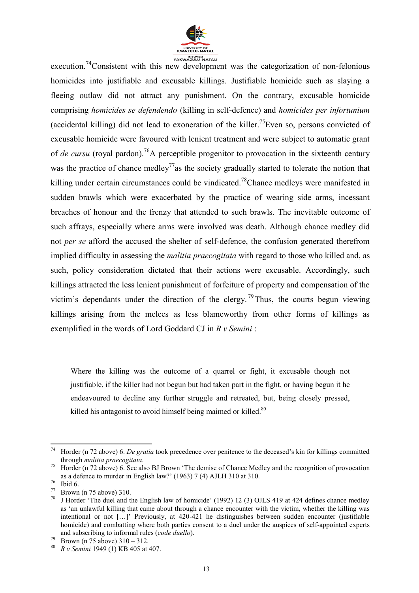

execution.<sup>74</sup>Consistent with this new development was the categorization of non-felonious homicides into justifiable and excusable killings. Justifiable homicide such as slaying a fleeing outlaw did not attract any punishment. On the contrary, excusable homicide comprising *homicides se defendendo* (killing in self-defence) and *homicides per infortunium*  (accidental killing) did not lead to exoneration of the killer.<sup>75</sup>Even so, persons convicted of excusable homicide were favoured with lenient treatment and were subject to automatic grant of *de cursu* (royal pardon).<sup>76</sup>A perceptible progenitor to provocation in the sixteenth century was the practice of chance medley<sup>77</sup> as the society gradually started to tolerate the notion that killing under certain circumstances could be vindicated.<sup>78</sup>Chance medleys were manifested in sudden brawls which were exacerbated by the practice of wearing side arms, incessant breaches of honour and the frenzy that attended to such brawls. The inevitable outcome of such affrays, especially where arms were involved was death. Although chance medley did not *per se* afford the accused the shelter of self-defence, the confusion generated therefrom implied difficulty in assessing the *malitia praecogitata* with regard to those who killed and, as such, policy consideration dictated that their actions were excusable. Accordingly, such killings attracted the less lenient punishment of forfeiture of property and compensation of the victim's dependants under the direction of the clergy.<sup>79</sup>Thus, the courts begun viewing killings arising from the melees as less blameworthy from other forms of killings as exemplified in the words of Lord Goddard CJ in *R v Semini* :

Where the killing was the outcome of a quarrel or fight, it excusable though not justifiable, if the killer had not begun but had taken part in the fight, or having begun it he endeavoured to decline any further struggle and retreated, but, being closely pressed, killed his antagonist to avoid himself being maimed or killed.<sup>80</sup>

<sup>74</sup> <sup>74</sup> Horder (n 72 above) 6. *De gratia* took precedence over penitence to the deceased's kin for killings committed through *malitia praecogitata*.

<sup>&</sup>lt;sup>75</sup> Horder (n 72 above) 6. See also BJ Brown 'The demise of Chance Medley and the recognition of provocation as a defence to murder in English law?' (1963) 7 (4) AJLH 310 at 310.

 $rac{76}{77}$  Ibid 6.

<sup>77</sup> Brown (n 75 above) 310.

J Horder 'The duel and the English law of homicide' (1992) 12 (3) OJLS 419 at 424 defines chance medley as 'an unlawful killing that came about through a chance encounter with the victim, whether the killing was intentional or not […]' Previously, at 420-421 he distinguishes between sudden encounter (justifiable homicide) and combatting where both parties consent to a duel under the auspices of self-appointed experts and subscribing to informal rules (*code duello*).

 $79$  Brown (n 75 above) 310 – 312.

<sup>80</sup> *R v Semini* 1949 (1) KB 405 at 407.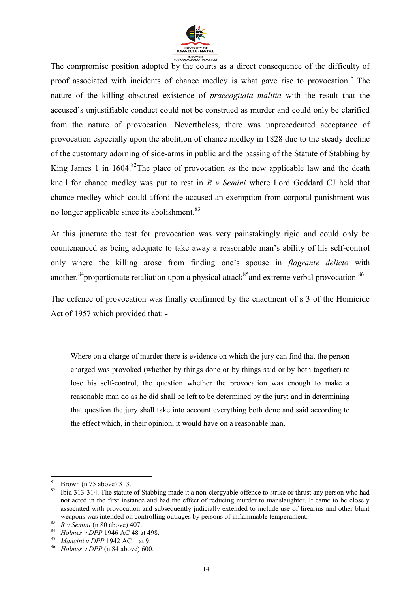

The compromise position adopted by the courts as a direct consequence of the difficulty of proof associated with incidents of chance medley is what gave rise to provocation. $81$ The nature of the killing obscured existence of *praecogitata malitia* with the result that the accused's unjustifiable conduct could not be construed as murder and could only be clarified from the nature of provocation. Nevertheless, there was unprecedented acceptance of provocation especially upon the abolition of chance medley in 1828 due to the steady decline of the customary adorning of side-arms in public and the passing of the Statute of Stabbing by King James 1 in  $1604$ .<sup>82</sup>The place of provocation as the new applicable law and the death knell for chance medley was put to rest in *R v Semini* where Lord Goddard CJ held that chance medley which could afford the accused an exemption from corporal punishment was no longer applicable since its abolishment.<sup>83</sup>

At this juncture the test for provocation was very painstakingly rigid and could only be countenanced as being adequate to take away a reasonable man's ability of his self-control only where the killing arose from finding one's spouse in *flagrante delicto* with another,  $84$  proportionate retaliation upon a physical attack  $85$  and extreme verbal provocation.  $86$ 

The defence of provocation was finally confirmed by the enactment of s 3 of the Homicide Act of 1957 which provided that: -

Where on a charge of murder there is evidence on which the jury can find that the person charged was provoked (whether by things done or by things said or by both together) to lose his self-control, the question whether the provocation was enough to make a reasonable man do as he did shall be left to be determined by the jury; and in determining that question the jury shall take into account everything both done and said according to the effect which, in their opinion, it would have on a reasonable man.

 $rac{81}{82}$  Brown (n 75 above) 313.

<sup>82</sup> Ibid 313-314. The statute of Stabbing made it a non-clergyable offence to strike or thrust any person who had not acted in the first instance and had the effect of reducing murder to manslaughter. It came to be closely associated with provocation and subsequently judicially extended to include use of firearms and other blunt weapons was intended on controlling outrages by persons of inflammable temperament.

<sup>83</sup> *R v Semini* (n 80 above) 407.

<sup>84</sup> *Holmes v DPP* 1946 AC 48 at 498.

<sup>85</sup> *Mancini v DPP* 1942 AC 1 at 9.

<sup>86</sup> *Holmes v DPP* (n 84 above) 600.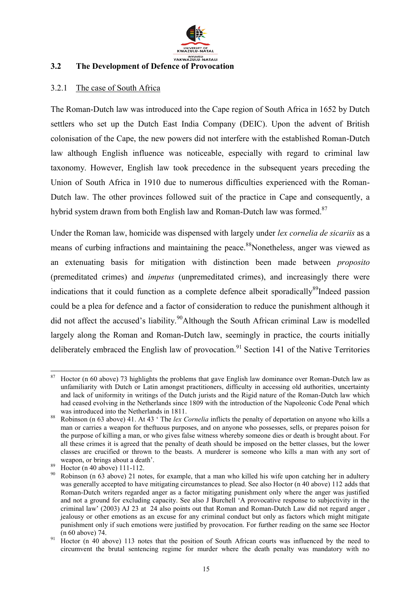

#### **3.2 The Development of Defence of Provocation**

#### 3.2.1 The case of South Africa

The Roman-Dutch law was introduced into the Cape region of South Africa in 1652 by Dutch settlers who set up the Dutch East India Company (DEIC). Upon the advent of British colonisation of the Cape, the new powers did not interfere with the established Roman-Dutch law although English influence was noticeable, especially with regard to criminal law taxonomy. However, English law took precedence in the subsequent years preceding the Union of South Africa in 1910 due to numerous difficulties experienced with the Roman-Dutch law. The other provinces followed suit of the practice in Cape and consequently, a hybrid system drawn from both English law and Roman-Dutch law was formed.<sup>87</sup>

Under the Roman law, homicide was dispensed with largely under *lex cornelia de sicariis* as a means of curbing infractions and maintaining the peace.<sup>88</sup>Nonetheless, anger was viewed as an extenuating basis for mitigation with distinction been made between *proposito* (premeditated crimes) and *impetus* (unpremeditated crimes), and increasingly there were indications that it could function as a complete defence albeit sporadically $89$ Indeed passion could be a plea for defence and a factor of consideration to reduce the punishment although it did not affect the accused's liability.<sup>90</sup>Although the South African criminal Law is modelled largely along the Roman and Roman-Dutch law, seemingly in practice, the courts initially deliberately embraced the English law of provocation.<sup>91</sup> Section 141 of the Native Territories

<sup>87</sup> Hoctor (n 60 above) 73 highlights the problems that gave English law dominance over Roman-Dutch law as unfamiliarity with Dutch or Latin amongst practitioners, difficulty in accessing old authorities, uncertainty and lack of uniformity in writings of the Dutch jurists and the Rigid nature of the Roman-Dutch law which had ceased evolving in the Netherlands since 1809 with the introduction of the Napoleonic Code Penal which was introduced into the Netherlands in 1811.

<sup>88</sup> Robinson (n 63 above) 41. At 43 ' The *lex Cornelia* inflicts the penalty of deportation on anyone who kills a man or carries a weapon for theftuous purposes, and on anyone who possesses, sells, or prepares poison for the purpose of killing a man, or who gives false witness whereby someone dies or death is brought about. For all these crimes it is agreed that the penalty of death should be imposed on the better classes, but the lower classes are crucified or thrown to the beasts. A murderer is someone who kills a man with any sort of weapon, or brings about a death'.

 $89$  Hoctor (n 40 above) 111-112.

Robinson (n 63 above) 21 notes, for example, that a man who killed his wife upon catching her in adultery was generally accepted to have mitigating circumstances to plead. See also Hoctor (n 40 above) 112 adds that Roman-Dutch writers regarded anger as a factor mitigating punishment only where the anger was justified and not a ground for excluding capacity. See also J Burchell 'A provocative response to subjectivity in the criminal law' (2003) AJ 23 at 24 also points out that Roman and Roman-Dutch Law did not regard anger , jealousy or other emotions as an excuse for any criminal conduct but only as factors which might mitigate punishment only if such emotions were justified by provocation. For further reading on the same see Hoctor (n 60 above) 74.

 $^{91}$  Hoctor (n 40 above) 113 notes that the position of South African courts was influenced by the need to circumvent the brutal sentencing regime for murder where the death penalty was mandatory with no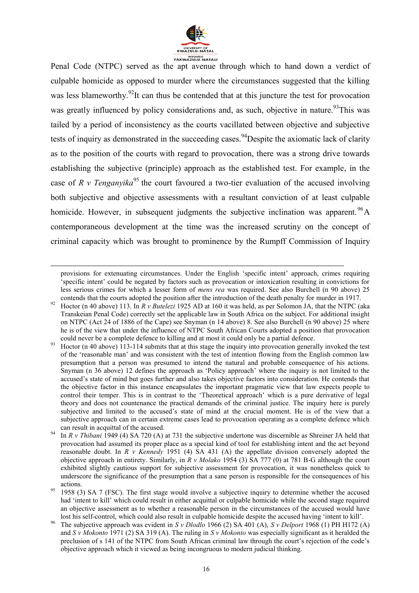

Penal Code (NTPC) served as the apt avenue through which to hand down a verdict of culpable homicide as opposed to murder where the circumstances suggested that the killing was less blameworthy.<sup>92</sup>It can thus be contended that at this juncture the test for provocation was greatly influenced by policy considerations and, as such, objective in nature.<sup>93</sup>This was tailed by a period of inconsistency as the courts vacillated between objective and subjective tests of inquiry as demonstrated in the succeeding cases. <sup>94</sup>Despite the axiomatic lack of clarity as to the position of the courts with regard to provocation, there was a strong drive towards establishing the subjective (principle) approach as the established test. For example, in the case of *R v Tenganyika*<sup>95</sup> the court favoured a two-tier evaluation of the accused involving both subjective and objective assessments with a resultant conviction of at least culpable homicide. However, in subsequent judgments the subjective inclination was apparent.  $^{96}$ A contemporaneous development at the time was the increased scrutiny on the concept of criminal capacity which was brought to prominence by the Rumpff Commission of Inquiry

provisions for extenuating circumstances. Under the English 'specific intent' approach, crimes requiring 'specific intent' could be negated by factors such as provocation or intoxication resulting in convictions for less serious crimes for which a lesser form of *mens rea* was required. See also Burchell (n 90 above) 25 contends that the courts adopted the position after the introduction of the death penalty for murder in 1917.

<sup>92</sup> Hoctor (n 40 above) 113. In *R v Butelezi* 1925 AD at 160 it was held, as per Solomon JA, that the NTPC (aka Transkeian Penal Code) correctly set the applicable law in South Africa on the subject. For additional insight on NTPC (Act 24 of 1886 of the Cape) see Snyman (n 14 above) 8. See also Burchell (n 90 above) 25 where he is of the view that under the influence of NTPC South African Courts adopted a position that provocation could never be a complete defence to killing and at most it could only be a partial defence.

Hoctor (n 40 above) 113-114 submits that at this stage the inquiry into provocation generally invoked the test of the 'reasonable man' and was consistent with the test of intention flowing from the English common law presumption that a person was presumed to intend the natural and probable consequence of his actions. Snyman (n 36 above) 12 defines the approach as 'Policy approach' where the inquiry is not limited to the accused's state of mind but goes further and also takes objective factors into consideration. He contends that the objective factor in this instance encapsulates the important pragmatic view that law expects people to control their temper. This is in contrast to the 'Theoretical approach' which is a pure derivative of legal theory and does not countenance the practical demands of the criminal justice. The inquiry here is purely subjective and limited to the accused's state of mind at the crucial moment. He is of the view that a subjective approach can in certain extreme cases lead to provocation operating as a complete defence which can result in acquittal of the accused.

In *R v Thibani* 1949 (4) SA 720 (A) at 731 the subjective undertone was discernible as Shreiner JA held that provocation had assumed its proper place as a special kind of tool for establishing intent and the act beyond reasonable doubt. In *R v Kennedy* 1951 (4) SA 431 (A) the appellate division conversely adopted the objective approach in entirety. Similarly, in *R v Molako* 1954 (3) SA 777 (0) at 781 B-G although the court exhibited slightly cautious support for subjective assessment for provocation, it was nonetheless quick to underscore the significance of the presumption that a sane person is responsible for the consequences of his actions.

 $\frac{95}{2}$  1958 (3) SA 7 (FSC). The first stage would involve a subjective inquiry to determine whether the accused had 'intent to kill' which could result in either acquittal or culpable homicide while the second stage required an objective assessment as to whether a reasonable person in the circumstances of the accused would have lost his self-control, which could also result in culpable homicide despite the accused having 'intent to kill'.

<sup>96</sup> The subjective approach was evident in *S v Dlodlo* 1966 (2) SA 401 (A), *S v Delport* 1968 (1) PH H172 (A) and *S v Mokonto* 1971 (2) SA 319 (A). The ruling in *S v Mokonto* was especially significant as it heralded the preclusion of s 141 of the NTPC from South African criminal law through the court's rejection of the code's objective approach which it viewed as being incongruous to modern judicial thinking.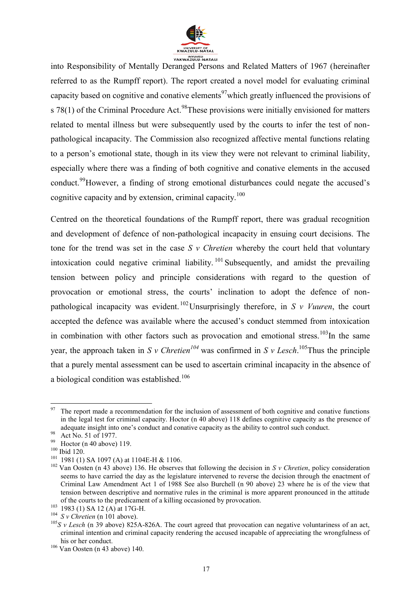

into Responsibility of Mentally Deranged Persons and Related Matters of 1967 (hereinafter referred to as the Rumpff report). The report created a novel model for evaluating criminal capacity based on cognitive and conative elements<sup>97</sup>which greatly influenced the provisions of s 78(1) of the Criminal Procedure Act.<sup>98</sup>These provisions were initially envisioned for matters related to mental illness but were subsequently used by the courts to infer the test of nonpathological incapacity. The Commission also recognized affective mental functions relating to a person's emotional state, though in its view they were not relevant to criminal liability, especially where there was a finding of both cognitive and conative elements in the accused conduct.<sup>99</sup>However, a finding of strong emotional disturbances could negate the accused's cognitive capacity and by extension, criminal capacity.<sup>100</sup>

Centred on the theoretical foundations of the Rumpff report, there was gradual recognition and development of defence of non-pathological incapacity in ensuing court decisions. The tone for the trend was set in the case *S v Chretien* whereby the court held that voluntary intoxication could negative criminal liability.  $101$  Subsequently, and amidst the prevailing tension between policy and principle considerations with regard to the question of provocation or emotional stress, the courts' inclination to adopt the defence of nonpathological incapacity was evident. <sup>102</sup>Unsurprisingly therefore, in *S v Vuuren*, the court accepted the defence was available where the accused's conduct stemmed from intoxication in combination with other factors such as provocation and emotional stress.<sup>103</sup>In the same year, the approach taken in *S v Chretien*<sup>104</sup> was confirmed in *S v Lesch*.<sup>105</sup>Thus the principle that a purely mental assessment can be used to ascertain criminal incapacity in the absence of a biological condition was established.<sup>106</sup>

<sup>97</sup> The report made a recommendation for the inclusion of assessment of both cognitive and conative functions in the legal test for criminal capacity. Hoctor (n 40 above) 118 defines cognitive capacity as the presence of adequate insight into one's conduct and conative capacity as the ability to control such conduct.

 $^{98}$  Act No. 51 of 1977.

Hoctor (n 40 above) 119.

<sup>100</sup> Ibid 120.

<sup>101</sup> 1981 (1) SA 1097 (A) at 1104E-H & 1106.

<sup>102</sup> Van Oosten (n 43 above) 136. He observes that following the decision in *S v Chretien*, policy consideration seems to have carried the day as the legislature intervened to reverse the decision through the enactment of Criminal Law Amendment Act 1 of 1988 See also Burchell (n 90 above) 23 where he is of the view that tension between descriptive and normative rules in the criminal is more apparent pronounced in the attitude of the courts to the predicament of a killing occasioned by provocation.

 $^{103}$  1983 (1) SA 12 (A) at 17G-H.

 $104$  *S v Chretien* (n 101 above).

 $105S$  v Lesch (n 39 above) 825A-826A. The court agreed that provocation can negative voluntariness of an act, criminal intention and criminal capacity rendering the accused incapable of appreciating the wrongfulness of his or her conduct.

<sup>106</sup> Van Oosten (n 43 above) 140.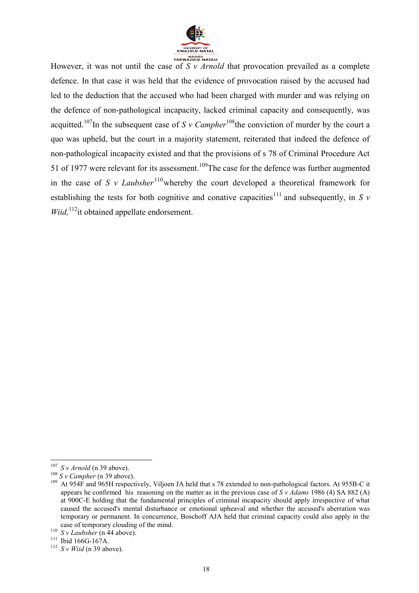

However, it was not until the case of *S v Arnold* that provocation prevailed as a complete defence. In that case it was held that the evidence of provocation raised by the accused had led to the deduction that the accused who had been charged with murder and was relying on the defence of non-pathological incapacity, lacked criminal capacity and consequently, was acquitted.<sup>107</sup>In the subsequent case of *S v Campher*<sup>108</sup>the conviction of murder by the court a quo was upheld, but the court in a majority statement, reiterated that indeed the defence of non-pathological incapacity existed and that the provisions of s 78 of Criminal Procedure Act 51 of 1977 were relevant for its assessment.<sup>109</sup>The case for the defence was further augmented in the case of *S v Laubsher*<sup>110</sup> whereby the court developed a theoretical framework for establishing the tests for both cognitive and conative capacities<sup>111</sup> and subsequently, in *S v Wiid*,<sup>112</sup>it obtained appellate endorsement.

 $\overline{a}$  $107$  *S v Arnold* (n 39 above).

 $^{108}$  *S v Campher* (n 39 above).<br> $^{109}$  At 054E and 065H respect

<sup>109</sup> At 954F and 965H respectively, Viljoen JA held that s 78 extended to non-pathological factors. At 955B-C it appears he confirmed his reasoning on the matter as in the previous case of *S v Adams* 1986 (4) SA 882 (A) at 900C-E holding that the fundamental principles of criminal incapacity should apply irrespective of what caused the accused's mental disturbance or emotional upheaval and whether the accused's aberration was temporary or permanent. In concurrence, Boschoff AJA held that criminal capacity could also apply in the case of temporary clouding of the mind.

<sup>110</sup> *S v Laubsher* (n 44 above).

<sup>111</sup> Ibid 166G-167A.

 $112$  *S v Wiid* (n 39 above).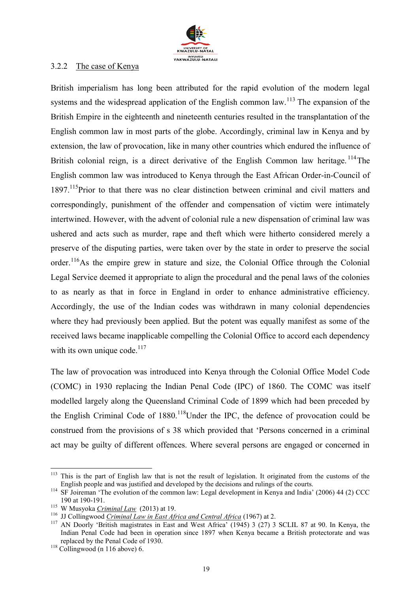

#### 3.2.2 The case of Kenya

British imperialism has long been attributed for the rapid evolution of the modern legal systems and the widespread application of the English common law.<sup>113</sup> The expansion of the British Empire in the eighteenth and nineteenth centuries resulted in the transplantation of the English common law in most parts of the globe. Accordingly, criminal law in Kenya and by extension, the law of provocation, like in many other countries which endured the influence of British colonial reign, is a direct derivative of the English Common law heritage.<sup>114</sup>The English common law was introduced to Kenya through the East African Order-in-Council of 1897.<sup>115</sup>Prior to that there was no clear distinction between criminal and civil matters and correspondingly, punishment of the offender and compensation of victim were intimately intertwined. However, with the advent of colonial rule a new dispensation of criminal law was ushered and acts such as murder, rape and theft which were hitherto considered merely a preserve of the disputing parties, were taken over by the state in order to preserve the social order.<sup>116</sup>As the empire grew in stature and size, the Colonial Office through the Colonial Legal Service deemed it appropriate to align the procedural and the penal laws of the colonies to as nearly as that in force in England in order to enhance administrative efficiency. Accordingly, the use of the Indian codes was withdrawn in many colonial dependencies where they had previously been applied. But the potent was equally manifest as some of the received laws became inapplicable compelling the Colonial Office to accord each dependency with its own unique code. $117$ 

The law of provocation was introduced into Kenya through the Colonial Office Model Code (COMC) in 1930 replacing the Indian Penal Code (IPC) of 1860. The COMC was itself modelled largely along the Queensland Criminal Code of 1899 which had been preceded by the English Criminal Code of  $1880$ <sup>118</sup>Under the IPC, the defence of provocation could be construed from the provisions of s 38 which provided that 'Persons concerned in a criminal act may be guilty of different offences. Where several persons are engaged or concerned in

<sup>113</sup> This is the part of English law that is not the result of legislation. It originated from the customs of the English people and was justified and developed by the decisions and rulings of the courts.

<sup>&</sup>lt;sup>114</sup> SF Joireman 'The evolution of the common law: Legal development in Kenya and India' (2006) 44 (2) CCC 190 at 190-191.

<sup>115</sup> W Musyoka *Criminal Law* (2013) at 19.

<sup>116</sup> JJ Collingwood *Criminal Law in East Africa and Central Africa* (1967) at 2.

<sup>&</sup>lt;sup>117</sup> AN Doorly 'British magistrates in East and West Africa' (1945) 3 (27) 3 SCLIL 87 at 90. In Kenya, the Indian Penal Code had been in operation since 1897 when Kenya became a British protectorate and was replaced by the Penal Code of 1930.

 $118$  Collingwood (n 116 above) 6.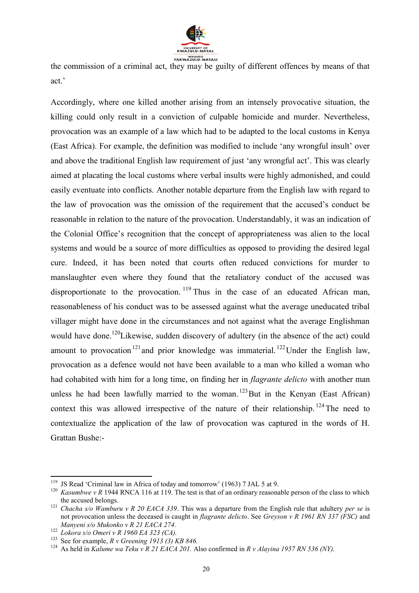

the commission of a criminal act, they may be guilty of different offences by means of that act.'

Accordingly, where one killed another arising from an intensely provocative situation, the killing could only result in a conviction of culpable homicide and murder. Nevertheless, provocation was an example of a law which had to be adapted to the local customs in Kenya (East Africa). For example, the definition was modified to include 'any wrongful insult' over and above the traditional English law requirement of just 'any wrongful act'. This was clearly aimed at placating the local customs where verbal insults were highly admonished, and could easily eventuate into conflicts. Another notable departure from the English law with regard to the law of provocation was the omission of the requirement that the accused's conduct be reasonable in relation to the nature of the provocation. Understandably, it was an indication of the Colonial Office's recognition that the concept of appropriateness was alien to the local systems and would be a source of more difficulties as opposed to providing the desired legal cure. Indeed, it has been noted that courts often reduced convictions for murder to manslaughter even where they found that the retaliatory conduct of the accused was disproportionate to the provocation.  $119$  Thus in the case of an educated African man, reasonableness of his conduct was to be assessed against what the average uneducated tribal villager might have done in the circumstances and not against what the average Englishman would have done.<sup>120</sup>Likewise, sudden discovery of adultery (in the absence of the act) could amount to provocation<sup>121</sup> and prior knowledge was immaterial. <sup>122</sup> Under the English law, provocation as a defence would not have been available to a man who killed a woman who had cohabited with him for a long time, on finding her in *flagrante delicto* with another man unless he had been lawfully married to the woman.<sup>123</sup>But in the Kenyan (East African) context this was allowed irrespective of the nature of their relationship.  $^{124}$  The need to contextualize the application of the law of provocation was captured in the words of H. Grattan Bushe:-

<sup>&</sup>lt;sup>119</sup> JS Read 'Criminal law in Africa of today and tomorrow' (1963) 7 JAL 5 at 9.

<sup>&</sup>lt;sup>120</sup> *Kasumbwe v R* 1944 RNCA 116 at 119. The test is that of an ordinary reasonable person of the class to which the accused belongs.

<sup>121</sup> *Chacha s/o Wamburu v R 20 EACA 339*. This was a departure from the English rule that adultery *per se* is not provocation unless the deceased is caught in *flagrante delicto*. See *Greyson v R 1961 RN 337 (FSC)* and *Manyeni s/o Mukonko v R 21 EACA 274.*

<sup>122</sup> *Lokora s/o Omeri v R 1960 EA 323 (CA).* 

<sup>123</sup> See for example, *R v Greening 1913 (3) KB 846.*

<sup>&</sup>lt;sup>124</sup> As held in *Kalume wa Teku v R 21 EACA 201*. Also confirmed in *R v Alayina 1957 RN 536 (NY)*.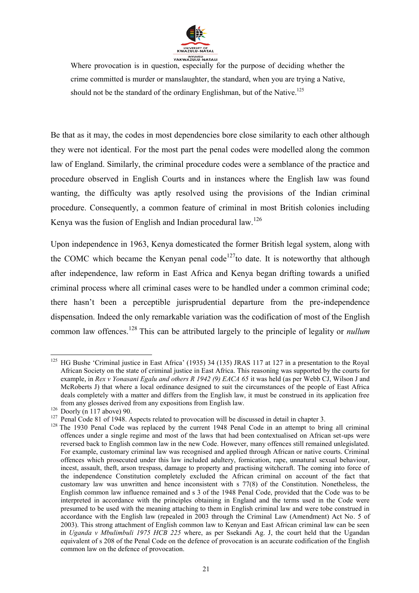

Where provocation is in question, especially for the purpose of deciding whether the crime committed is murder or manslaughter, the standard, when you are trying a Native, should not be the standard of the ordinary Englishman, but of the Native.<sup>125</sup>

Be that as it may, the codes in most dependencies bore close similarity to each other although they were not identical. For the most part the penal codes were modelled along the common law of England. Similarly, the criminal procedure codes were a semblance of the practice and procedure observed in English Courts and in instances where the English law was found wanting, the difficulty was aptly resolved using the provisions of the Indian criminal procedure. Consequently, a common feature of criminal in most British colonies including Kenya was the fusion of English and Indian procedural law.<sup>126</sup>

Upon independence in 1963, Kenya domesticated the former British legal system, along with the COMC which became the Kenyan penal code<sup>127</sup>to date. It is noteworthy that although after independence, law reform in East Africa and Kenya began drifting towards a unified criminal process where all criminal cases were to be handled under a common criminal code; there hasn't been a perceptible jurisprudential departure from the pre-independence dispensation. Indeed the only remarkable variation was the codification of most of the English common law offences.<sup>128</sup> This can be attributed largely to the principle of legality or *nullum* 

**<sup>.</sup>** <sup>125</sup> HG Bushe 'Criminal justice in East Africa' (1935) 34 (135) JRAS 117 at 127 in a presentation to the Royal African Society on the state of criminal justice in East Africa. This reasoning was supported by the courts for example, in *Rex v Yonasani Egalu and others R 1942 (9) EACA 65* it was held (as per Webb CJ, Wilson J and McRoberts J) that where a local ordinance designed to suit the circumstances of the people of East Africa deals completely with a matter and differs from the English law, it must be construed in its application free from any glosses derived from any expositions from English law.

 $126$  Doorly (n 117 above) 90.

<sup>&</sup>lt;sup>127</sup> Penal Code 81 of 1948. Aspects related to provocation will be discussed in detail in chapter 3.

<sup>&</sup>lt;sup>128</sup> The 1930 Penal Code was replaced by the current 1948 Penal Code in an attempt to bring all criminal offences under a single regime and most of the laws that had been contextualised on African set-ups were reversed back to English common law in the new Code. However, many offences still remained unlegislated. For example, customary criminal law was recognised and applied through African or native courts. Criminal offences which prosecuted under this law included adultery, fornication, rape, unnatural sexual behaviour, incest, assault, theft, arson trespass, damage to property and practising witchcraft. The coming into force of the independence Constitution completely excluded the African criminal on account of the fact that customary law was unwritten and hence inconsistent with s 77(8) of the Constitution. Nonetheless, the English common law influence remained and s 3 of the 1948 Penal Code, provided that the Code was to be interpreted in accordance with the principles obtaining in England and the terms used in the Code were presumed to be used with the meaning attaching to them in English criminal law and were tobe construed in accordance with the English law (repealed in 2003 through the Criminal Law (Amendment) Act No. 5 of 2003). This strong attachment of English common law to Kenyan and East African criminal law can be seen in *Uganda v Mbulimbuli 1975 HCB 225* where, as per Ssekandi Ag. J, the court held that the Ugandan equivalent of s 208 of the Penal Code on the defence of provocation is an accurate codification of the English common law on the defence of provocation.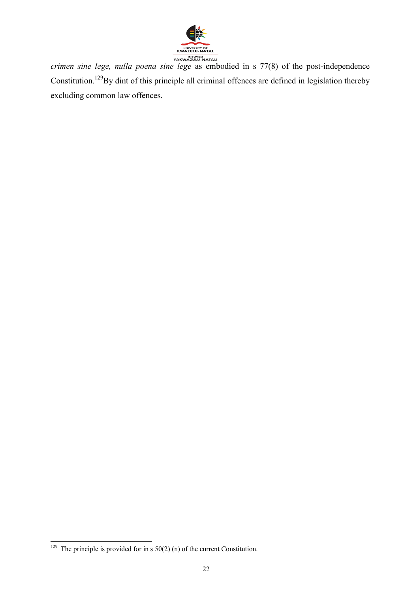

*crimen sine lege, nulla poena sine lege* as embodied in s 77(8) of the post-independence Constitution.<sup>129</sup>By dint of this principle all criminal offences are defined in legislation thereby excluding common law offences.

**<sup>.</sup>** <sup>129</sup> The principle is provided for in s  $50(2)$  (n) of the current Constitution.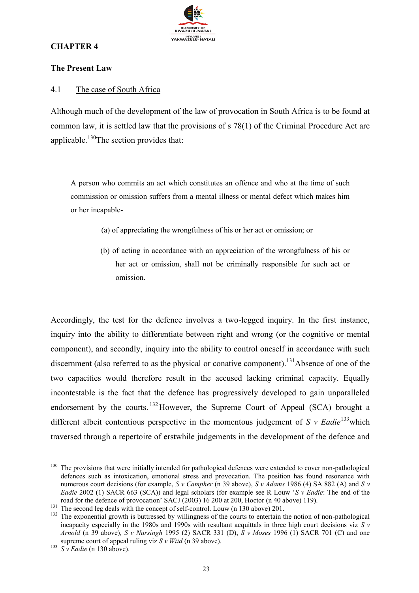

#### **CHAPTER 4**

#### **The Present Law**

#### 4.1 The case of South Africa

Although much of the development of the law of provocation in South Africa is to be found at common law, it is settled law that the provisions of s 78(1) of the Criminal Procedure Act are applicable.<sup>130</sup>The section provides that:

A person who commits an act which constitutes an offence and who at the time of such commission or omission suffers from a mental illness or mental defect which makes him or her incapable-

- (a) of appreciating the wrongfulness of his or her act or omission; or
- (b) of acting in accordance with an appreciation of the wrongfulness of his or her act or omission, shall not be criminally responsible for such act or omission.

Accordingly, the test for the defence involves a two-legged inquiry. In the first instance, inquiry into the ability to differentiate between right and wrong (or the cognitive or mental component), and secondly, inquiry into the ability to control oneself in accordance with such discernment (also referred to as the physical or conative component).<sup>131</sup>Absence of one of the two capacities would therefore result in the accused lacking criminal capacity. Equally incontestable is the fact that the defence has progressively developed to gain unparalleled endorsement by the courts. <sup>132</sup>However, the Supreme Court of Appeal (SCA) brought a different albeit contentious perspective in the momentous judgement of  $S$  v Eadie<sup>133</sup>which traversed through a repertoire of erstwhile judgements in the development of the defence and

 $\overline{a}$ <sup>130</sup> The provisions that were initially intended for pathological defences were extended to cover non-pathological defences such as intoxication, emotional stress and provocation. The position has found resonance with numerous court decisions (for example, *S v Campher* (n 39 above), *S v Adams* 1986 (4) SA 882 (A) and *S v Eadie* 2002 (1) SACR 663 (SCA)) and legal scholars (for example see R Louw '*S v Eadie*: The end of the road for the defence of provocation' SACJ (2003) 16 200 at 200, Hoctor (n 40 above) 119).

<sup>&</sup>lt;sup>131</sup> The second leg deals with the concept of self-control. Louw (n 130 above) 201.

<sup>&</sup>lt;sup>132</sup> The exponential growth is buttressed by willingness of the courts to entertain the notion of non-pathological incapacity especially in the 1980s and 1990s with resultant acquittals in three high court decisions viz *S v Arnold* (n 39 above)*, S v Nursingh* 1995 (2) SACR 331 (D), *S v Moses* 1996 (1) SACR 701 (C) and one supreme court of appeal ruling viz *S v Wiid* (n 39 above).

<sup>&</sup>lt;sup>133</sup> *S v Eadie* (n 130 above).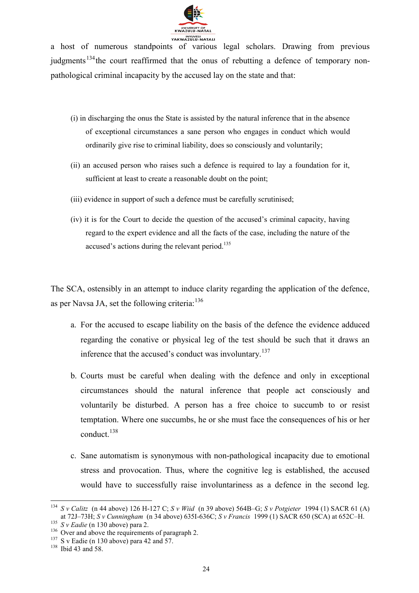

a host of numerous standpoints of various legal scholars. Drawing from previous judgments<sup>134</sup>the court reaffirmed that the onus of rebutting a defence of temporary nonpathological criminal incapacity by the accused lay on the state and that:

- (i) in discharging the onus the State is assisted by the natural inference that in the absence of exceptional circumstances a sane person who engages in conduct which would ordinarily give rise to criminal liability, does so consciously and voluntarily;
- (ii) an accused person who raises such a defence is required to lay a foundation for it, sufficient at least to create a reasonable doubt on the point;
- (iii) evidence in support of such a defence must be carefully scrutinised;
- (iv) it is for the Court to decide the question of the accused's criminal capacity, having regard to the expert evidence and all the facts of the case, including the nature of the accused's actions during the relevant period.<sup>135</sup>

The SCA, ostensibly in an attempt to induce clarity regarding the application of the defence, as per Navsa JA, set the following criteria: $136$ 

- a. For the accused to escape liability on the basis of the defence the evidence adduced regarding the conative or physical leg of the test should be such that it draws an inference that the accused's conduct was involuntary.<sup>137</sup>
- b. Courts must be careful when dealing with the defence and only in exceptional circumstances should the natural inference that people act consciously and voluntarily be disturbed. A person has a free choice to succumb to or resist temptation. Where one succumbs, he or she must face the consequences of his or her conduct.<sup>138</sup>
- c. Sane automatism is synonymous with non-pathological incapacity due to emotional stress and provocation. Thus, where the cognitive leg is established, the accused would have to successfully raise involuntariness as a defence in the second leg.

**<sup>.</sup>** <sup>134</sup> *S v Calitz* (n 44 above) 126 H-127 C; *S v Wiid* (n 39 above) 564B–G; *S v Potgieter* 1994 (1) SACR 61 (A) at 72J–73H; *S v Cunningham* (n 34 above) 635I-636C; *S v Francis* 1999 (1) SACR 650 (SCA) at 652C–H.

<sup>135</sup> *S v Eadie* (n 130 above) para 2.

<sup>&</sup>lt;sup>136</sup> Over and above the requirements of paragraph 2.

 $137$  S v Eadie (n 130 above) para 42 and 57.

<sup>&</sup>lt;sup>138</sup> Ibid 43 and 58.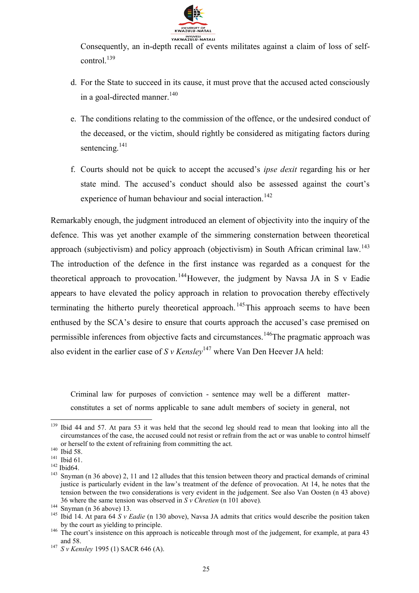

Consequently, an in-depth recall of events militates against a claim of loss of selfcontrol.<sup>139</sup>

- d. For the State to succeed in its cause, it must prove that the accused acted consciously in a goal-directed manner. $140$
- e. The conditions relating to the commission of the offence, or the undesired conduct of the deceased, or the victim, should rightly be considered as mitigating factors during sentencing.<sup>141</sup>
- f. Courts should not be quick to accept the accused's *ipse dexit* regarding his or her state mind. The accused's conduct should also be assessed against the court's experience of human behaviour and social interaction.<sup>142</sup>

Remarkably enough, the judgment introduced an element of objectivity into the inquiry of the defence. This was yet another example of the simmering consternation between theoretical approach (subjectivism) and policy approach (objectivism) in South African criminal law.<sup>143</sup> The introduction of the defence in the first instance was regarded as a conquest for the theoretical approach to provocation.<sup>144</sup>However, the judgment by Navsa JA in S v Eadie appears to have elevated the policy approach in relation to provocation thereby effectively terminating the hitherto purely theoretical approach.<sup>145</sup>This approach seems to have been enthused by the SCA's desire to ensure that courts approach the accused's case premised on permissible inferences from objective facts and circumstances.<sup>146</sup>The pragmatic approach was also evident in the earlier case of *S v Kensley*<sup>147</sup> where Van Den Heever JA held:

Criminal law for purposes of conviction - sentence may well be a different matterconstitutes a set of norms applicable to sane adult members of society in general, not

1

<sup>&</sup>lt;sup>139</sup> Ibid 44 and 57. At para 53 it was held that the second leg should read to mean that looking into all the circumstances of the case, the accused could not resist or refrain from the act or was unable to control himself or herself to the extent of refraining from committing the act.

<sup>&</sup>lt;sup>140</sup> Ibid 58.

<sup>&</sup>lt;sup>141</sup> Ibid 61.

<sup>142</sup> Ibid64.

<sup>&</sup>lt;sup>143</sup> Snyman (n 36 above) 2, 11 and 12 alludes that this tension between theory and practical demands of criminal justice is particularly evident in the law's treatment of the defence of provocation. At 14, he notes that the tension between the two considerations is very evident in the judgement. See also Van Oosten (n 43 above) 36 where the same tension was observed in *S v Chretien* (n 101 above)*.*

 $144$  Snyman (n 36 above) 13.

<sup>&</sup>lt;sup>145</sup> Ibid 14. At para 64  $S$  *v Eadie* (n 130 above), Navsa JA admits that critics would describe the position taken by the court as yielding to principle.

<sup>&</sup>lt;sup>146</sup> The court's insistence on this approach is noticeable through most of the judgement, for example, at para 43 and 58.

<sup>147</sup> *S v Kensley* 1995 (1) SACR 646 (A).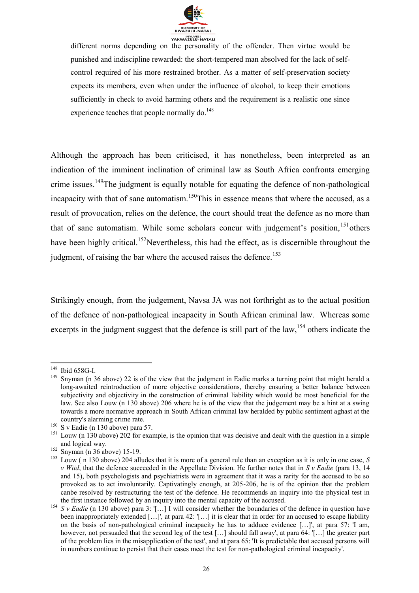

different norms depending on the personality of the offender. Then virtue would be punished and indiscipline rewarded: the short-tempered man absolved for the lack of selfcontrol required of his more restrained brother. As a matter of self-preservation society expects its members, even when under the influence of alcohol, to keep their emotions sufficiently in check to avoid harming others and the requirement is a realistic one since experience teaches that people normally  $\rm{d}o$ <sup>148</sup>

Although the approach has been criticised, it has nonetheless, been interpreted as an indication of the imminent inclination of criminal law as South Africa confronts emerging crime issues.<sup>149</sup>The judgment is equally notable for equating the defence of non-pathological incapacity with that of sane automatism.<sup>150</sup>This in essence means that where the accused, as a result of provocation, relies on the defence, the court should treat the defence as no more than that of sane automatism. While some scholars concur with judgement's position, <sup>151</sup>others have been highly critical.<sup>152</sup>Nevertheless, this had the effect, as is discernible throughout the judgment, of raising the bar where the accused raises the defence.<sup>153</sup>

Strikingly enough, from the judgement, Navsa JA was not forthright as to the actual position of the defence of non-pathological incapacity in South African criminal law. Whereas some excerpts in the judgment suggest that the defence is still part of the law,  $154$  others indicate the

1

<sup>&</sup>lt;sup>148</sup> Ibid 658G-I.

<sup>&</sup>lt;sup>149</sup> Snyman (n 36 above) 22 is of the view that the judgment in Eadie marks a turning point that might herald a long-awaited reintroduction of more objective considerations, thereby ensuring a better balance between subjectivity and objectivity in the construction of criminal liability which would be most beneficial for the law. See also Louw (n 130 above) 206 where he is of the view that the judgement may be a hint at a swing towards a more normative approach in South African criminal law heralded by public sentiment aghast at the country's alarming crime rate.

 $^{150}$  S v Eadie (n 130 above) para 57.

<sup>&</sup>lt;sup>151</sup> Louw (n 130 above) 202 for example, is the opinion that was decisive and dealt with the question in a simple and logical way.

 $152$  Snyman (n 36 above) 15-19.

 $^{153}$  Louw ( $\hat{n}$  130 above) 204 alludes that it is more of a general rule than an exception as it is only in one case, *S v Wiid*, that the defence succeeded in the Appellate Division. He further notes that in *S v Eadie* (para 13, 14 and 15), both psychologists and psychiatrists were in agreement that it was a rarity for the accused to be so provoked as to act involuntarily. Captivatingly enough, at 205-206, he is of the opinion that the problem canbe resolved by restructuring the test of the defence. He recommends an inquiry into the physical test in the first instance followed by an inquiry into the mental capacity of the accused.

<sup>&</sup>lt;sup>154</sup> *S v Eadie* (n 130 above) para 3: '[...] I will consider whether the boundaries of the defence in question have been inappropriately extended […]', at para 42: '[…] it is clear that in order for an accused to escape liability on the basis of non-pathological criminal incapacity he has to adduce evidence […]', at para 57: 'I am, however, not persuaded that the second leg of the test [...] should fall away', at para 64: '[…] the greater part of the problem lies in the misapplication of the test', and at para 65: 'It is predictable that accused persons will in numbers continue to persist that their cases meet the test for non-pathological criminal incapacity'.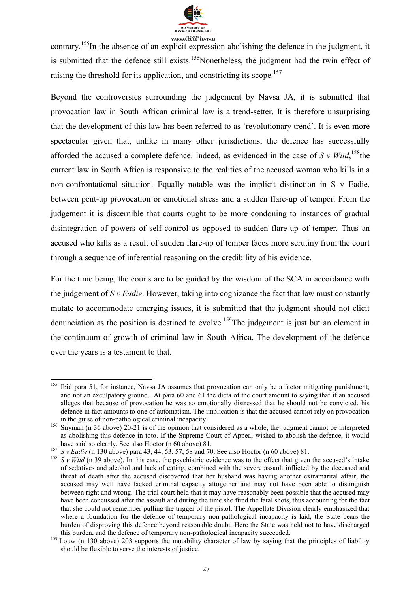

contrary.<sup>155</sup>In the absence of an explicit expression abolishing the defence in the judgment, it is submitted that the defence still exists.<sup>156</sup>Nonetheless, the judgment had the twin effect of raising the threshold for its application, and constricting its scope.<sup>157</sup>

Beyond the controversies surrounding the judgement by Navsa JA, it is submitted that provocation law in South African criminal law is a trend-setter. It is therefore unsurprising that the development of this law has been referred to as 'revolutionary trend'. It is even more spectacular given that, unlike in many other jurisdictions, the defence has successfully afforded the accused a complete defence. Indeed, as evidenced in the case of  $S v$  Wiid, <sup>158</sup>the current law in South Africa is responsive to the realities of the accused woman who kills in a non-confrontational situation. Equally notable was the implicit distinction in S v Eadie, between pent-up provocation or emotional stress and a sudden flare-up of temper. From the judgement it is discernible that courts ought to be more condoning to instances of gradual disintegration of powers of self-control as opposed to sudden flare-up of temper. Thus an accused who kills as a result of sudden flare-up of temper faces more scrutiny from the court through a sequence of inferential reasoning on the credibility of his evidence.

For the time being, the courts are to be guided by the wisdom of the SCA in accordance with the judgement of *S v Eadie*. However, taking into cognizance the fact that law must constantly mutate to accommodate emerging issues, it is submitted that the judgment should not elicit denunciation as the position is destined to evolve.<sup>159</sup>The judgement is just but an element in the continuum of growth of criminal law in South Africa. The development of the defence over the years is a testament to that.

<sup>&</sup>lt;sup>155</sup> Ibid para 51, for instance, Navsa JA assumes that provocation can only be a factor mitigating punishment, and not an exculpatory ground. At para 60 and 61 the dicta of the court amount to saying that if an accused alleges that because of provocation he was so emotionally distressed that he should not be convicted, his defence in fact amounts to one of automatism. The implication is that the accused cannot rely on provocation in the guise of non-pathological criminal incapacity.

<sup>&</sup>lt;sup>156</sup> Snyman (n 36 above) 20-21 is of the opinion that considered as a whole, the judgment cannot be interpreted as abolishing this defence in toto. If the Supreme Court of Appeal wished to abolish the defence, it would have said so clearly. See also Hoctor (n 60 above) 81.

<sup>&</sup>lt;sup>157</sup> *S v Eadie* (n 130 above) para 43, 44, 53, 57, 58 and 70. See also Hoctor (n 60 above) 81.

<sup>&</sup>lt;sup>158</sup>  $S \vee$  *Wiid* (n 39 above). In this case, the psychiatric evidence was to the effect that given the accused's intake of sedatives and alcohol and lack of eating, combined with the severe assault inflicted by the deceased and threat of death after the accused discovered that her husband was having another extramarital affair, the accused may well have lacked criminal capacity altogether and may not have been able to distinguish between right and wrong. The trial court held that it may have reasonably been possible that the accused may have been concussed after the assault and during the time she fired the fatal shots, thus accounting for the fact that she could not remember pulling the trigger of the pistol. The Appellate Division clearly emphasized that where a foundation for the defence of temporary non-pathological incapacity is laid, the State bears the burden of disproving this defence beyond reasonable doubt. Here the State was held not to have discharged this burden, and the defence of temporary non-pathological incapacity succeeded.

<sup>&</sup>lt;sup>159</sup> Louw (n 130 above) 203 supports the mutability character of law by saying that the principles of liability should be flexible to serve the interests of justice.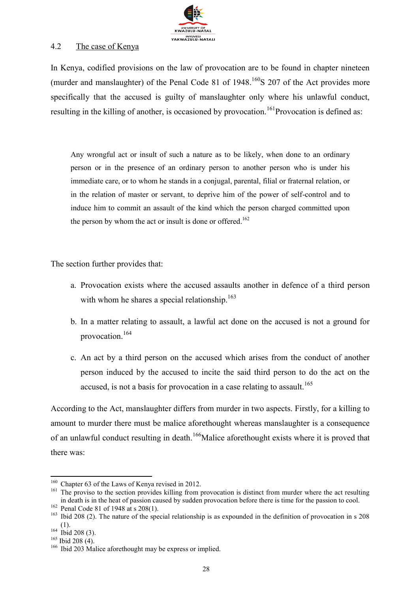

#### 4.2 The case of Kenya

In Kenya, codified provisions on the law of provocation are to be found in chapter nineteen (murder and manslaughter) of the Penal Code 81 of  $1948$ <sup> $160$ </sup>S 207 of the Act provides more specifically that the accused is guilty of manslaughter only where his unlawful conduct, resulting in the killing of another, is occasioned by provocation.<sup>161</sup>Provocation is defined as:

Any wrongful act or insult of such a nature as to be likely, when done to an ordinary person or in the presence of an ordinary person to another person who is under his immediate care, or to whom he stands in a conjugal, parental, filial or fraternal relation, or in the relation of master or servant, to deprive him of the power of self-control and to induce him to commit an assault of the kind which the person charged committed upon the person by whom the act or insult is done or offered.<sup>162</sup>

The section further provides that:

- a. Provocation exists where the accused assaults another in defence of a third person with whom he shares a special relationship.<sup>163</sup>
- b. In a matter relating to assault, a lawful act done on the accused is not a ground for provocation.<sup>164</sup>
- c. An act by a third person on the accused which arises from the conduct of another person induced by the accused to incite the said third person to do the act on the accused, is not a basis for provocation in a case relating to assault.<sup>165</sup>

According to the Act, manslaughter differs from murder in two aspects. Firstly, for a killing to amount to murder there must be malice aforethought whereas manslaughter is a consequence of an unlawful conduct resulting in death.<sup>166</sup>Malice aforethought exists where it is proved that there was:

<sup>&</sup>lt;sup>160</sup> Chapter 63 of the Laws of Kenya revised in 2012.

<sup>&</sup>lt;sup>161</sup> The proviso to the section provides killing from provocation is distinct from murder where the act resulting in death is in the heat of passion caused by sudden provocation before there is time for the passion to cool.

 $162$  Penal Code 81 of 1948 at s 208(1).

<sup>&</sup>lt;sup>163</sup> Ibid 208 (2). The nature of the special relationship is as expounded in the definition of provocation in s 208 (1).

 $164$  Ibid 208 (3).

 $165$  Ibid 208 (4).

<sup>&</sup>lt;sup>166</sup> Ibid 203 Malice aforethought may be express or implied.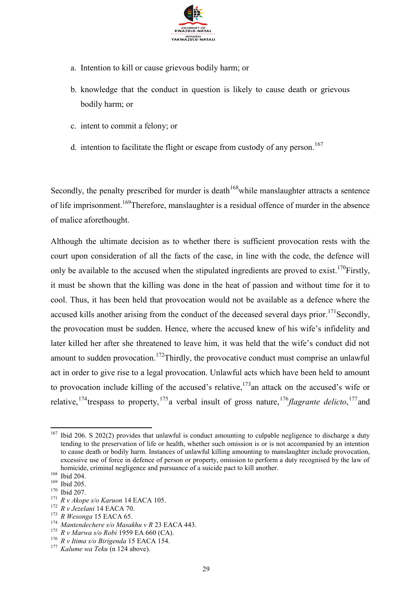

- a. Intention to kill or cause grievous bodily harm; or
- b. knowledge that the conduct in question is likely to cause death or grievous bodily harm; or
- c. intent to commit a felony; or
- d. intention to facilitate the flight or escape from custody of any person.<sup>167</sup>

Secondly, the penalty prescribed for murder is death<sup> $168$ </sup> while manslaughter attracts a sentence of life imprisonment.<sup>169</sup>Therefore, manslaughter is a residual offence of murder in the absence of malice aforethought.

Although the ultimate decision as to whether there is sufficient provocation rests with the court upon consideration of all the facts of the case, in line with the code, the defence will only be available to the accused when the stipulated ingredients are proved to exist.<sup>170</sup>Firstly, it must be shown that the killing was done in the heat of passion and without time for it to cool. Thus, it has been held that provocation would not be available as a defence where the accused kills another arising from the conduct of the deceased several days prior.<sup>171</sup>Secondly, the provocation must be sudden. Hence, where the accused knew of his wife's infidelity and later killed her after she threatened to leave him, it was held that the wife's conduct did not amount to sudden provocation.<sup>172</sup>Thirdly, the provocative conduct must comprise an unlawful act in order to give rise to a legal provocation. Unlawful acts which have been held to amount to provocation include killing of the accused's relative,  $173$  an attack on the accused's wife or relative, <sup>174</sup> trespass to property, <sup>175</sup> a verbal insult of gross nature, <sup>176</sup> flagrante delicto, <sup>177</sup> and

<sup>167</sup> <sup>167</sup> Ibid 206. S 202(2) provides that unlawful is conduct amounting to culpable negligence to discharge a duty tending to the preservation of life or health, whether such omission is or is not accompanied by an intention to cause death or bodily harm. Instances of unlawful killing amounting to manslaughter include provocation, excessive use of force in defence of person or property, omission to perform a duty recognised by the law of homicide, criminal negligence and pursuance of a suicide pact to kill another.

<sup>168</sup> Ibid 204.

<sup>169</sup> Ibid 205.

<sup>170</sup> Ibid 207.

<sup>171</sup> *R v Akope s/o Karuon* 14 EACA 105.

<sup>172</sup> *R v Jezelani* 14 EACA 70.

<sup>173</sup> *R Wesonga* 15 EACA 65.

<sup>174</sup> *Mantendechere s/o Masakhu v R* 23 EACA 443.

<sup>175</sup> *R v Marwa s/o Robi* 1959 EA 660 (CA).

<sup>176</sup> *R v Itima s/o Birigenda* 15 EACA 154.

<sup>177</sup> *Kalume wa Teku* (n 124 above).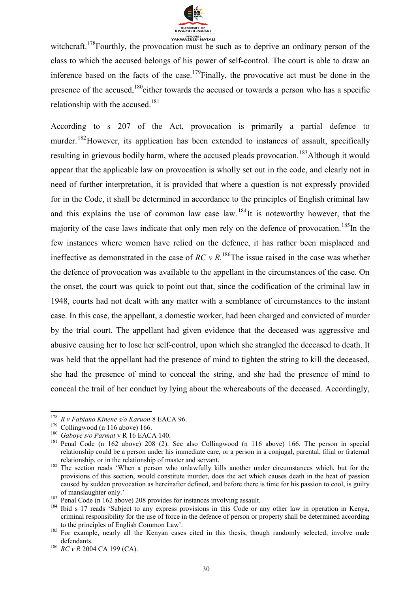

witchcraft.<sup>178</sup>Fourthly, the provocation must be such as to deprive an ordinary person of the class to which the accused belongs of his power of self-control. The court is able to draw an inference based on the facts of the case.<sup>179</sup>Finally, the provocative act must be done in the presence of the accused,<sup>180</sup>either towards the accused or towards a person who has a specific relationship with the accused.<sup>181</sup>

According to s 207 of the Act, provocation is primarily a partial defence to murder.<sup>182</sup>However, its application has been extended to instances of assault, specifically resulting in grievous bodily harm, where the accused pleads provocation.<sup>183</sup>Although it would appear that the applicable law on provocation is wholly set out in the code, and clearly not in need of further interpretation, it is provided that where a question is not expressly provided for in the Code, it shall be determined in accordance to the principles of English criminal law and this explains the use of common law case law.  $184$ It is noteworthy however, that the majority of the case laws indicate that only men rely on the defence of provocation.<sup>185</sup>In the few instances where women have relied on the defence, it has rather been misplaced and ineffective as demonstrated in the case of *RC v R*.<sup>186</sup>The issue raised in the case was whether the defence of provocation was available to the appellant in the circumstances of the case. On the onset, the court was quick to point out that, since the codification of the criminal law in 1948, courts had not dealt with any matter with a semblance of circumstances to the instant case. In this case, the appellant, a domestic worker, had been charged and convicted of murder by the trial court. The appellant had given evidence that the deceased was aggressive and abusive causing her to lose her self-control, upon which she strangled the deceased to death. It was held that the appellant had the presence of mind to tighten the string to kill the deceased, she had the presence of mind to conceal the string, and she had the presence of mind to conceal the trail of her conduct by lying about the whereabouts of the deceased. Accordingly,

 $\overline{a}$ 

<sup>178</sup> *R v Fabiano Kinene s/o Karuon* 8 EACA 96.

<sup>&</sup>lt;sup>179</sup> Collingwood (n 116 above) 166.<br><sup>180</sup> Gabove s/o Parmat y **R** 16 EAC.

<sup>180</sup> *Gaboye s/o Parmat* v R 16 EACA 140.

<sup>181</sup> Penal Code (n 162 above) 208 (2). See also Collingwood (n 116 above) 166. The person in special relationship could be a person under his immediate care, or a person in a conjugal, parental, filial or fraternal relationship, or in the relationship of master and servant.

 $182$  The section reads 'When a person who unlawfully kills another under circumstances which, but for the provisions of this section, would constitute murder, does the act which causes death in the heat of passion caused by sudden provocation as hereinafter defined, and before there is time for his passion to cool, is guilty of manslaughter only.'

<sup>&</sup>lt;sup>183</sup> Penal Code (n 162 above) 208 provides for instances involving assault.<br><sup>184</sup> Brid a 17 note 'Subject to any sympace provisions in this Code are

<sup>184</sup> Ibid s 17 reads 'Subject to any express provisions in this Code or any other law in operation in Kenya, criminal responsibility for the use of force in the defence of person or property shall be determined according to the principles of English Common Law'.

<sup>&</sup>lt;sup>185</sup> For example, nearly all the Kenyan cases cited in this thesis, though randomly selected, involve male defendants.

<sup>186</sup> *RC v R* 2004 CA 199 (CA).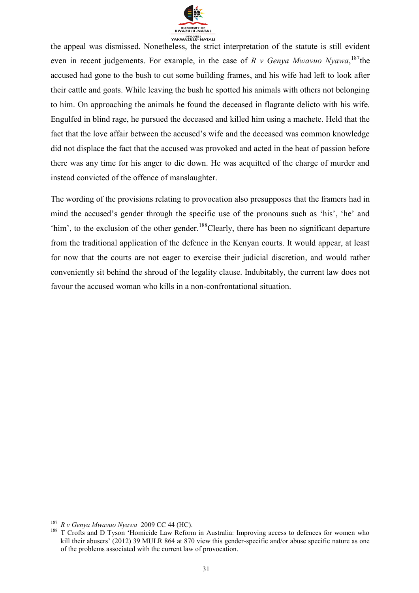

the appeal was dismissed. Nonetheless, the strict interpretation of the statute is still evident even in recent judgements. For example, in the case of  $R$  v Genya Mwavuo Nyawa, <sup>187</sup>the accused had gone to the bush to cut some building frames, and his wife had left to look after their cattle and goats. While leaving the bush he spotted his animals with others not belonging to him. On approaching the animals he found the deceased in flagrante delicto with his wife. Engulfed in blind rage, he pursued the deceased and killed him using a machete. Held that the fact that the love affair between the accused's wife and the deceased was common knowledge did not displace the fact that the accused was provoked and acted in the heat of passion before there was any time for his anger to die down. He was acquitted of the charge of murder and instead convicted of the offence of manslaughter.

The wording of the provisions relating to provocation also presupposes that the framers had in mind the accused's gender through the specific use of the pronouns such as 'his', 'he' and 'him', to the exclusion of the other gender.<sup>188</sup>Clearly, there has been no significant departure from the traditional application of the defence in the Kenyan courts. It would appear, at least for now that the courts are not eager to exercise their judicial discretion, and would rather conveniently sit behind the shroud of the legality clause. Indubitably, the current law does not favour the accused woman who kills in a non-confrontational situation.

 $\overline{a}$ <sup>187</sup> *R v Genya Mwavuo Nyawa* 2009 CC 44 (HC).

<sup>&</sup>lt;sup>188</sup> T Crofts and D Tyson 'Homicide Law Reform in Australia: Improving access to defences for women who kill their abusers' (2012) 39 MULR 864 at 870 view this gender-specific and/or abuse specific nature as one of the problems associated with the current law of provocation.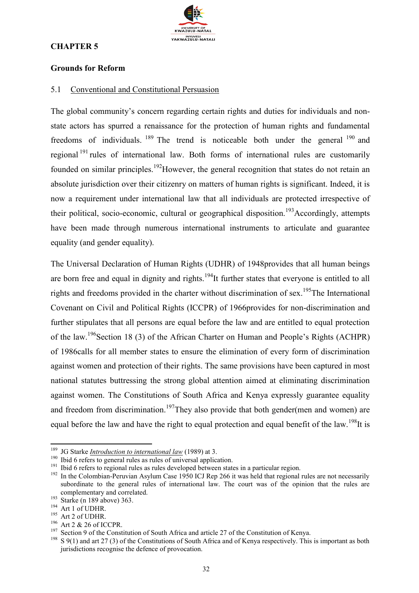

#### **CHAPTER 5**

#### **Grounds for Reform**

#### 5.1 Conventional and Constitutional Persuasion

The global community's concern regarding certain rights and duties for individuals and nonstate actors has spurred a renaissance for the protection of human rights and fundamental freedoms of individuals.  $^{189}$  The trend is noticeable both under the general  $^{190}$  and regional <sup>191</sup> rules of international law. Both forms of international rules are customarily founded on similar principles.<sup>192</sup>However, the general recognition that states do not retain an absolute jurisdiction over their citizenry on matters of human rights is significant. Indeed, it is now a requirement under international law that all individuals are protected irrespective of their political, socio-economic, cultural or geographical disposition.<sup>193</sup>Accordingly, attempts have been made through numerous international instruments to articulate and guarantee equality (and gender equality).

The Universal Declaration of Human Rights (UDHR) of 1948provides that all human beings are born free and equal in dignity and rights.<sup>194</sup>It further states that everyone is entitled to all rights and freedoms provided in the charter without discrimination of sex.<sup>195</sup>The International Covenant on Civil and Political Rights (ICCPR) of 1966provides for non-discrimination and further stipulates that all persons are equal before the law and are entitled to equal protection of the law.<sup>196</sup>Section 18 (3) of the African Charter on Human and People's Rights (ACHPR) of 1986calls for all member states to ensure the elimination of every form of discrimination against women and protection of their rights. The same provisions have been captured in most national statutes buttressing the strong global attention aimed at eliminating discrimination against women. The Constitutions of South Africa and Kenya expressly guarantee equality and freedom from discrimination.<sup>197</sup>They also provide that both gender(men and women) are equal before the law and have the right to equal protection and equal benefit of the law.<sup>198</sup>It is

1

<sup>189</sup> JG Starke *Introduction to international law* (1989) at 3.

<sup>&</sup>lt;sup>190</sup> Ibid 6 refers to general rules as rules of universal application.<br><sup>191</sup> Ibid 6 refers to regional rules as rules developed between state

<sup>&</sup>lt;sup>191</sup> Ibid 6 refers to regional rules as rules developed between states in a particular region.<br><sup>192</sup> In the Colombian Berwien, Asylum Case 1950 JCJ Rep. 266 it was held that regional

In the Colombian-Peruvian Asylum Case 1950 ICJ Rep 266 it was held that regional rules are not necessarily subordinate to the general rules of international law. The court was of the opinion that the rules are complementary and correlated.

 $\frac{193}{3}$  Starke (n 189 above) 363.

<sup>194</sup> Art 1 of UDHR.

<sup>195</sup> Art 2 of UDHR.

<sup>196</sup> Art 2 & 26 of ICCPR.

<sup>&</sup>lt;sup>197</sup> Section 9 of the Constitution of South Africa and article 27 of the Constitution of Kenya.<br><sup>198</sup> S 9(1) and art 27 (3) of the Constitutions of South Africa and of Kenya respectively. This

<sup>198</sup> S 9(1) and art 27 (3) of the Constitutions of South Africa and of Kenya respectively. This is important as both jurisdictions recognise the defence of provocation.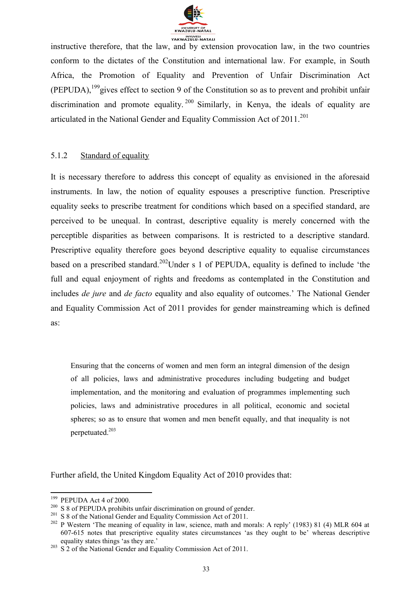

instructive therefore, that the law, and by extension provocation law, in the two countries conform to the dictates of the Constitution and international law. For example, in South Africa, the Promotion of Equality and Prevention of Unfair Discrimination Act (PEPUDA),<sup>199</sup>gives effect to section 9 of the Constitution so as to prevent and prohibit unfair discrimination and promote equality. <sup>200</sup> Similarly, in Kenya, the ideals of equality are articulated in the National Gender and Equality Commission Act of  $2011$ <sup>201</sup>

#### 5.1.2 Standard of equality

It is necessary therefore to address this concept of equality as envisioned in the aforesaid instruments. In law, the notion of equality espouses a prescriptive function. Prescriptive equality seeks to prescribe treatment for conditions which based on a specified standard, are perceived to be unequal. In contrast, descriptive equality is merely concerned with the perceptible disparities as between comparisons. It is restricted to a descriptive standard. Prescriptive equality therefore goes beyond descriptive equality to equalise circumstances based on a prescribed standard.<sup>202</sup>Under s 1 of PEPUDA, equality is defined to include 'the full and equal enjoyment of rights and freedoms as contemplated in the Constitution and includes *de jure* and *de facto* equality and also equality of outcomes.' The National Gender and Equality Commission Act of 2011 provides for gender mainstreaming which is defined as:

Ensuring that the concerns of women and men form an integral dimension of the design of all policies, laws and administrative procedures including budgeting and budget implementation, and the monitoring and evaluation of programmes implementing such policies, laws and administrative procedures in all political, economic and societal spheres; so as to ensure that women and men benefit equally, and that inequality is not perpetuated.<sup>203</sup>

Further afield, the United Kingdom Equality Act of 2010 provides that:

 $\overline{a}$ <sup>199</sup> PEPUDA Act 4 of 2000.

<sup>&</sup>lt;sup>200</sup> S 8 of PEPUDA prohibits unfair discrimination on ground of gender.

<sup>&</sup>lt;sup>201</sup> S 8 of the National Gender and Equality Commission Act of 2011.

<sup>&</sup>lt;sup>202</sup> P Western 'The meaning of equality in law, science, math and morals: A reply' (1983) 81 (4) MLR 604 at 607-615 notes that prescriptive equality states circumstances 'as they ought to be' whereas descriptive equality states things 'as they are.'

 $2^{03}$  S 2 of the National Gender and Equality Commission Act of 2011.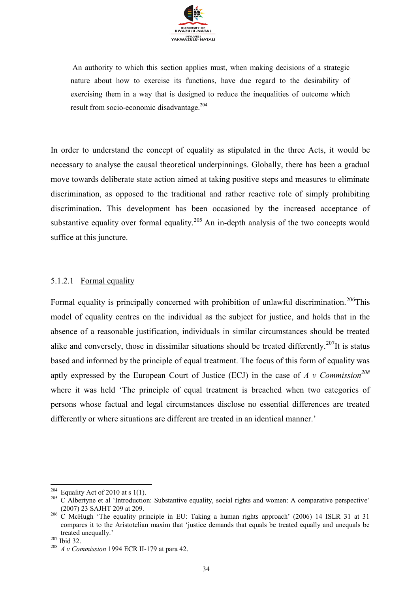

An authority to which this section applies must, when making decisions of a strategic nature about how to exercise its functions, have due regard to the desirability of exercising them in a way that is designed to reduce the inequalities of outcome which result from socio-economic disadvantage.<sup>204</sup>

In order to understand the concept of equality as stipulated in the three Acts, it would be necessary to analyse the causal theoretical underpinnings. Globally, there has been a gradual move towards deliberate state action aimed at taking positive steps and measures to eliminate discrimination, as opposed to the traditional and rather reactive role of simply prohibiting discrimination. This development has been occasioned by the increased acceptance of substantive equality over formal equality.<sup>205</sup> An in-depth analysis of the two concepts would suffice at this juncture.

#### 5.1.2.1 Formal equality

Formal equality is principally concerned with prohibition of unlawful discrimination.<sup>206</sup>This model of equality centres on the individual as the subject for justice, and holds that in the absence of a reasonable justification, individuals in similar circumstances should be treated alike and conversely, those in dissimilar situations should be treated differently.<sup>207</sup>It is status based and informed by the principle of equal treatment. The focus of this form of equality was aptly expressed by the European Court of Justice (ECJ) in the case of *A v Commission<sup>208</sup>* where it was held 'The principle of equal treatment is breached when two categories of persons whose factual and legal circumstances disclose no essential differences are treated differently or where situations are different are treated in an identical manner.'

<sup>&</sup>lt;sup>204</sup> Equality Act of 2010 at s 1(1).

<sup>&</sup>lt;sup>205</sup> C Albertyne et al 'Introduction: Substantive equality, social rights and women: A comparative perspective' (2007) 23 SAJHT 209 at 209.

<sup>&</sup>lt;sup>206</sup> C McHugh 'The equality principle in EU: Taking a human rights approach' (2006) 14 ISLR 31 at 31 compares it to the Aristotelian maxim that 'justice demands that equals be treated equally and unequals be treated unequally.'

<sup>207</sup> Ibid 32.

<sup>208</sup> *A v Commission* 1994 ECR II-179 at para 42.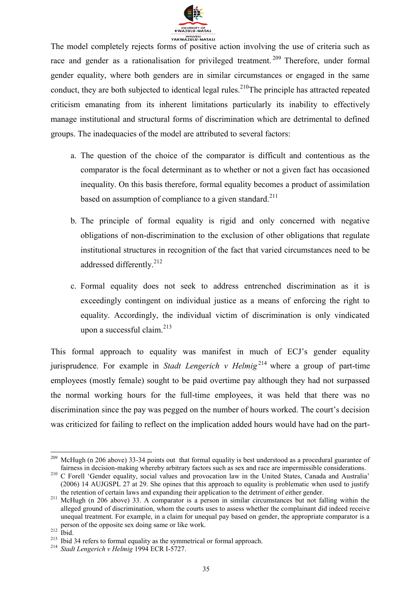

The model completely rejects forms of positive action involving the use of criteria such as race and gender as a rationalisation for privileged treatment.<sup>209</sup> Therefore, under formal gender equality, where both genders are in similar circumstances or engaged in the same conduct, they are both subjected to identical legal rules.<sup>210</sup>The principle has attracted repeated criticism emanating from its inherent limitations particularly its inability to effectively manage institutional and structural forms of discrimination which are detrimental to defined groups. The inadequacies of the model are attributed to several factors:

- a. The question of the choice of the comparator is difficult and contentious as the comparator is the focal determinant as to whether or not a given fact has occasioned inequality. On this basis therefore, formal equality becomes a product of assimilation based on assumption of compliance to a given standard.<sup>211</sup>
- b. The principle of formal equality is rigid and only concerned with negative obligations of non-discrimination to the exclusion of other obligations that regulate institutional structures in recognition of the fact that varied circumstances need to be addressed differently.<sup>212</sup>
- c. Formal equality does not seek to address entrenched discrimination as it is exceedingly contingent on individual justice as a means of enforcing the right to equality. Accordingly, the individual victim of discrimination is only vindicated upon a successful claim. $^{213}$

This formal approach to equality was manifest in much of ECJ's gender equality jurisprudence. For example in *Stadt Lengerich v Helmig* <sup>214</sup> where a group of part-time employees (mostly female) sought to be paid overtime pay although they had not surpassed the normal working hours for the full-time employees, it was held that there was no discrimination since the pay was pegged on the number of hours worked. The court's decision was criticized for failing to reflect on the implication added hours would have had on the part-

<sup>1</sup> <sup>209</sup> McHugh (n 206 above) 33-34 points out that formal equality is best understood as a procedural guarantee of fairness in decision-making whereby arbitrary factors such as sex and race are impermissible considerations.

<sup>&</sup>lt;sup>210</sup> C Forell 'Gender equality, social values and provocation law in the United States, Canada and Australia' (2006) 14 AUJGSPL 27 at 29. She opines that this approach to equality is problematic when used to justify the retention of certain laws and expanding their application to the detriment of either gender.

<sup>&</sup>lt;sup>211</sup> McHugh (n 206 above) 33. A comparator is a person in similar circumstances but not falling within the alleged ground of discrimination, whom the courts uses to assess whether the complainant did indeed receive unequal treatment. For example, in a claim for unequal pay based on gender, the appropriate comparator is a person of the opposite sex doing same or like work.

 $212$   $\frac{P}{2}$  Ibid.

 $213$  Ibid 34 refers to formal equality as the symmetrical or formal approach.

<sup>214</sup> *Stadt Lengerich v Helmig* 1994 ECR I-5727.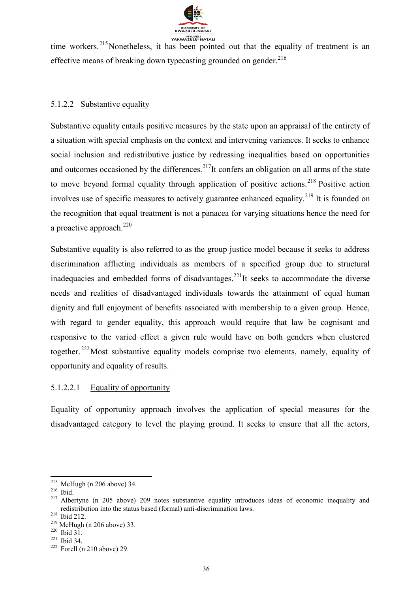

**EXAMPLE THE SET OF THE VARY ATALLY STATALLY**<br>time workers.<sup>215</sup>Nonetheless, it has been pointed out that the equality of treatment is an effective means of breaking down typecasting grounded on gender.<sup>216</sup>

#### 5.1.2.2 Substantive equality

Substantive equality entails positive measures by the state upon an appraisal of the entirety of a situation with special emphasis on the context and intervening variances. It seeks to enhance social inclusion and redistributive justice by redressing inequalities based on opportunities and outcomes occasioned by the differences.<sup>217</sup>It confers an obligation on all arms of the state to move beyond formal equality through application of positive actions.<sup>218</sup> Positive action involves use of specific measures to actively guarantee enhanced equality.<sup>219</sup> It is founded on the recognition that equal treatment is not a panacea for varying situations hence the need for a proactive approach. $220$ 

Substantive equality is also referred to as the group justice model because it seeks to address discrimination afflicting individuals as members of a specified group due to structural inadequacies and embedded forms of disadvantages.<sup>221</sup>It seeks to accommodate the diverse needs and realities of disadvantaged individuals towards the attainment of equal human dignity and full enjoyment of benefits associated with membership to a given group. Hence, with regard to gender equality, this approach would require that law be cognisant and responsive to the varied effect a given rule would have on both genders when clustered together.<sup>222</sup>Most substantive equality models comprise two elements, namely, equality of opportunity and equality of results.

### 5.1.2.2.1 Equality of opportunity

Equality of opportunity approach involves the application of special measures for the disadvantaged category to level the playing ground. It seeks to ensure that all the actors,

 $215$  McHugh (n 206 above) 34.

<sup>216</sup> Ibid.

<sup>&</sup>lt;sup>217</sup> Albertyne (n 205 above) 209 notes substantive equality introduces ideas of economic inequality and redistribution into the status based (formal) anti-discrimination laws.

<sup>218</sup> Ibid 212.

<sup>219</sup> McHugh (n 206 above) 33.

 $220$  Ibid  $3\overline{1}$ .

<sup>221</sup> Ibid 34.

 $222$  Forell (n 210 above) 29.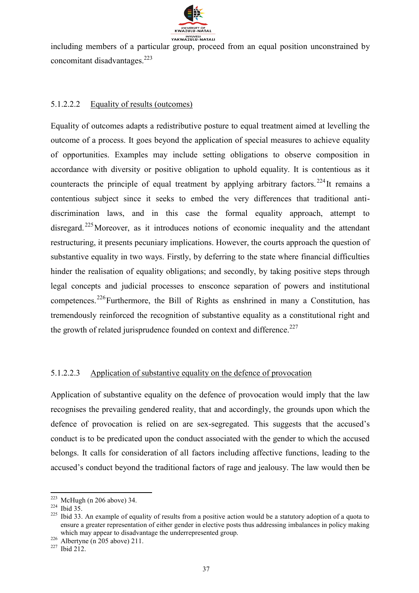

including members of a particular group, proceed from an equal position unconstrained by concomitant disadvantages.<sup>223</sup>

#### 5.1.2.2.2 Equality of results (outcomes)

Equality of outcomes adapts a redistributive posture to equal treatment aimed at levelling the outcome of a process. It goes beyond the application of special measures to achieve equality of opportunities. Examples may include setting obligations to observe composition in accordance with diversity or positive obligation to uphold equality. It is contentious as it counteracts the principle of equal treatment by applying arbitrary factors. <sup>224</sup>It remains a contentious subject since it seeks to embed the very differences that traditional antidiscrimination laws, and in this case the formal equality approach, attempt to disregard.<sup>225</sup>Moreover, as it introduces notions of economic inequality and the attendant restructuring, it presents pecuniary implications. However, the courts approach the question of substantive equality in two ways. Firstly, by deferring to the state where financial difficulties hinder the realisation of equality obligations; and secondly, by taking positive steps through legal concepts and judicial processes to ensconce separation of powers and institutional competences.<sup>226</sup>Furthermore, the Bill of Rights as enshrined in many a Constitution, has tremendously reinforced the recognition of substantive equality as a constitutional right and the growth of related jurisprudence founded on context and difference.<sup>227</sup>

#### 5.1.2.2.3 Application of substantive equality on the defence of provocation

Application of substantive equality on the defence of provocation would imply that the law recognises the prevailing gendered reality, that and accordingly, the grounds upon which the defence of provocation is relied on are sex-segregated. This suggests that the accused's conduct is to be predicated upon the conduct associated with the gender to which the accused belongs. It calls for consideration of all factors including affective functions, leading to the accused's conduct beyond the traditional factors of rage and jealousy. The law would then be

 $\overline{a}$  $223$  McHugh (n 206 above) 34.

<sup>224</sup> Ibid 35.

 $225$  Ibid 33. An example of equality of results from a positive action would be a statutory adoption of a quota to ensure a greater representation of either gender in elective posts thus addressing imbalances in policy making which may appear to disadvantage the underrepresented group.

 $226$  Albertyne (n 205 above) 211.

<sup>227</sup> Ibid 212.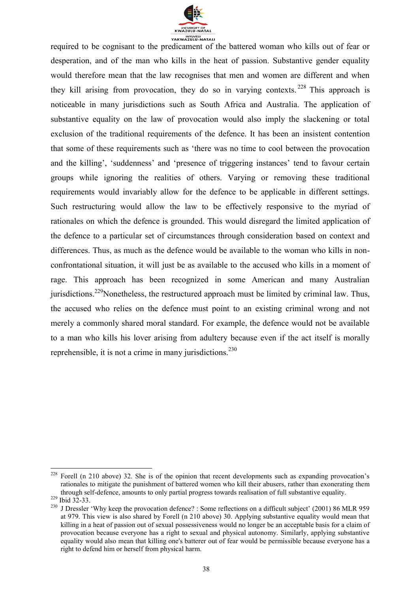

required to be cognisant to the predicament of the battered woman who kills out of fear or desperation, and of the man who kills in the heat of passion. Substantive gender equality would therefore mean that the law recognises that men and women are different and when they kill arising from provocation, they do so in varying contexts.  $228$  This approach is noticeable in many jurisdictions such as South Africa and Australia. The application of substantive equality on the law of provocation would also imply the slackening or total exclusion of the traditional requirements of the defence. It has been an insistent contention that some of these requirements such as 'there was no time to cool between the provocation and the killing', 'suddenness' and 'presence of triggering instances' tend to favour certain groups while ignoring the realities of others. Varying or removing these traditional requirements would invariably allow for the defence to be applicable in different settings. Such restructuring would allow the law to be effectively responsive to the myriad of rationales on which the defence is grounded. This would disregard the limited application of the defence to a particular set of circumstances through consideration based on context and differences. Thus, as much as the defence would be available to the woman who kills in nonconfrontational situation, it will just be as available to the accused who kills in a moment of rage. This approach has been recognized in some American and many Australian jurisdictions.<sup>229</sup>Nonetheless, the restructured approach must be limited by criminal law. Thus, the accused who relies on the defence must point to an existing criminal wrong and not merely a commonly shared moral standard. For example, the defence would not be available to a man who kills his lover arising from adultery because even if the act itself is morally reprehensible, it is not a crime in many jurisdictions. $230$ 

 $228\,$ Forell (n 210 above) 32. She is of the opinion that recent developments such as expanding provocation's rationales to mitigate the punishment of battered women who kill their abusers, rather than exonerating them through self-defence, amounts to only partial progress towards realisation of full substantive equality.

<sup>229</sup> Ibid 32-33.

<sup>&</sup>lt;sup>230</sup> J Dressler 'Why keep the provocation defence? : Some reflections on a difficult subject' (2001) 86 MLR 959 at 979. This view is also shared by Forell (n 210 above) 30. Applying substantive equality would mean that killing in a heat of passion out of sexual possessiveness would no longer be an acceptable basis for a claim of provocation because everyone has a right to sexual and physical autonomy. Similarly, applying substantive equality would also mean that killing one's batterer out of fear would be permissible because everyone has a right to defend him or herself from physical harm.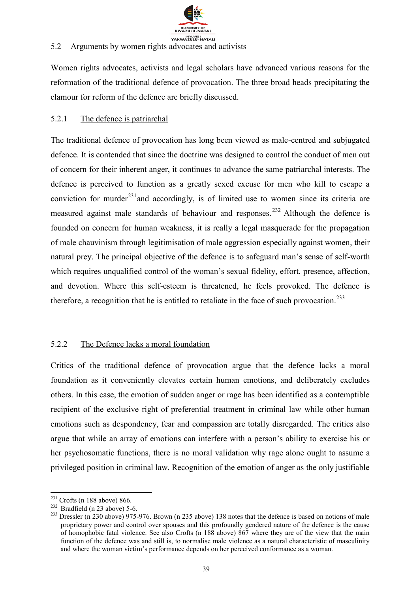

#### 5.2 Arguments by women rights advocates and activists

Women rights advocates, activists and legal scholars have advanced various reasons for the reformation of the traditional defence of provocation. The three broad heads precipitating the clamour for reform of the defence are briefly discussed.

#### 5.2.1 The defence is patriarchal

The traditional defence of provocation has long been viewed as male-centred and subjugated defence. It is contended that since the doctrine was designed to control the conduct of men out of concern for their inherent anger, it continues to advance the same patriarchal interests. The defence is perceived to function as a greatly sexed excuse for men who kill to escape a conviction for murder<sup>231</sup> and accordingly, is of limited use to women since its criteria are measured against male standards of behaviour and responses.<sup>232</sup> Although the defence is founded on concern for human weakness, it is really a legal masquerade for the propagation of male chauvinism through legitimisation of male aggression especially against women, their natural prey. The principal objective of the defence is to safeguard man's sense of self-worth which requires unqualified control of the woman's sexual fidelity, effort, presence, affection, and devotion. Where this self-esteem is threatened, he feels provoked. The defence is therefore, a recognition that he is entitled to retaliate in the face of such provocation.<sup>233</sup>

### 5.2.2 The Defence lacks a moral foundation

Critics of the traditional defence of provocation argue that the defence lacks a moral foundation as it conveniently elevates certain human emotions, and deliberately excludes others. In this case, the emotion of sudden anger or rage has been identified as a contemptible recipient of the exclusive right of preferential treatment in criminal law while other human emotions such as despondency, fear and compassion are totally disregarded. The critics also argue that while an array of emotions can interfere with a person's ability to exercise his or her psychosomatic functions, there is no moral validation why rage alone ought to assume a privileged position in criminal law. Recognition of the emotion of anger as the only justifiable

 $\overline{a}$  $231$  Crofts (n 188 above) 866.

 $232$  Bradfield (n 23 above) 5-6.

<sup>&</sup>lt;sup>233</sup> Dressler (n 230 above) 975-976. Brown (n 235 above) 138 notes that the defence is based on notions of male proprietary power and control over spouses and this profoundly gendered nature of the defence is the cause of homophobic fatal violence. See also Crofts (n 188 above) 867 where they are of the view that the main function of the defence was and still is, to normalise male violence as a natural characteristic of masculinity and where the woman victim's performance depends on her perceived conformance as a woman.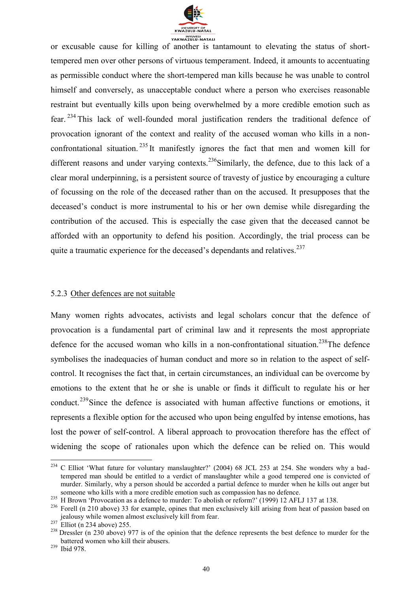

or excusable cause for killing of another is tantamount to elevating the status of shorttempered men over other persons of virtuous temperament. Indeed, it amounts to accentuating as permissible conduct where the short-tempered man kills because he was unable to control himself and conversely, as unacceptable conduct where a person who exercises reasonable restraint but eventually kills upon being overwhelmed by a more credible emotion such as fear. <sup>234</sup> This lack of well-founded moral justification renders the traditional defence of provocation ignorant of the context and reality of the accused woman who kills in a nonconfrontational situation.<sup>235</sup> It manifestly ignores the fact that men and women kill for different reasons and under varying contexts.<sup>236</sup>Similarly, the defence, due to this lack of a clear moral underpinning, is a persistent source of travesty of justice by encouraging a culture of focussing on the role of the deceased rather than on the accused. It presupposes that the deceased's conduct is more instrumental to his or her own demise while disregarding the contribution of the accused. This is especially the case given that the deceased cannot be afforded with an opportunity to defend his position. Accordingly, the trial process can be quite a traumatic experience for the deceased's dependants and relatives.<sup>237</sup>

#### 5.2.3 Other defences are not suitable

Many women rights advocates, activists and legal scholars concur that the defence of provocation is a fundamental part of criminal law and it represents the most appropriate defence for the accused woman who kills in a non-confrontational situation.<sup>238</sup>The defence symbolises the inadequacies of human conduct and more so in relation to the aspect of selfcontrol. It recognises the fact that, in certain circumstances, an individual can be overcome by emotions to the extent that he or she is unable or finds it difficult to regulate his or her conduct.<sup>239</sup>Since the defence is associated with human affective functions or emotions, it represents a flexible option for the accused who upon being engulfed by intense emotions, has lost the power of self-control. A liberal approach to provocation therefore has the effect of widening the scope of rationales upon which the defence can be relied on. This would

 $\overline{a}$ 

 $234$  C Elliot 'What future for voluntary manslaughter?' (2004) 68 JCL 253 at 254. She wonders why a badtempered man should be entitled to a verdict of manslaughter while a good tempered one is convicted of murder. Similarly, why a person should be accorded a partial defence to murder when he kills out anger but someone who kills with a more credible emotion such as compassion has no defence.

<sup>&</sup>lt;sup>235</sup> H Brown 'Provocation as a defence to murder: To abolish or reform?' (1999) 12 AFLJ 137 at 138.

<sup>&</sup>lt;sup>236</sup> Forell (n 210 above) 33 for example, opines that men exclusively kill arising from heat of passion based on jealousy while women almost exclusively kill from fear.

 $237$  Elliot (n 234 above) 255.

<sup>&</sup>lt;sup>238</sup> Dressler (n 230 above) 977 is of the opinion that the defence represents the best defence to murder for the battered women who kill their abusers.

<sup>239</sup> Ibid 978.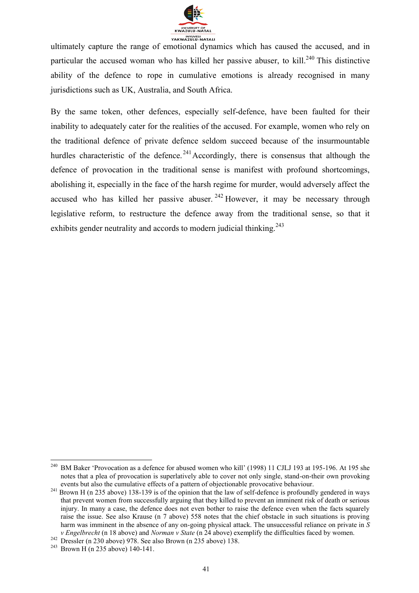

ultimately capture the range of emotional dynamics which has caused the accused, and in particular the accused woman who has killed her passive abuser, to kill.<sup>240</sup> This distinctive ability of the defence to rope in cumulative emotions is already recognised in many jurisdictions such as UK, Australia, and South Africa.

By the same token, other defences, especially self-defence, have been faulted for their inability to adequately cater for the realities of the accused. For example, women who rely on the traditional defence of private defence seldom succeed because of the insurmountable hurdles characteristic of the defence.<sup>241</sup>Accordingly, there is consensus that although the defence of provocation in the traditional sense is manifest with profound shortcomings, abolishing it, especially in the face of the harsh regime for murder, would adversely affect the accused who has killed her passive abuser.  $242$  However, it may be necessary through legislative reform, to restructure the defence away from the traditional sense, so that it exhibits gender neutrality and accords to modern judicial thinking.<sup>243</sup>

 $\overline{a}$ 

<sup>&</sup>lt;sup>240</sup> BM Baker 'Provocation as a defence for abused women who kill' (1998) 11 CJLJ 193 at 195-196. At 195 she notes that a plea of provocation is superlatively able to cover not only single, stand-on-their own provoking events but also the cumulative effects of a pattern of objectionable provocative behaviour.

<sup>&</sup>lt;sup>241</sup> Brown H (n 235 above) 138-139 is of the opinion that the law of self-defence is profoundly gendered in ways that prevent women from successfully arguing that they killed to prevent an imminent risk of death or serious injury. In many a case, the defence does not even bother to raise the defence even when the facts squarely raise the issue. See also Krause (n 7 above) 558 notes that the chief obstacle in such situations is proving harm was imminent in the absence of any on-going physical attack. The unsuccessful reliance on private in *S v Engelbrecht* (n 18 above) and *Norman v State* (n 24 above) exemplify the difficulties faced by women.

 $242$  Dressler (n 230 above) 978. See also Brown (n 235 above) 138.

<sup>&</sup>lt;sup>243</sup> Brown H (n 235 above) 140-141.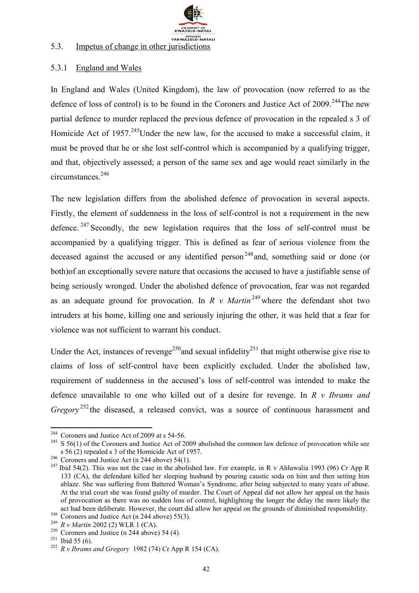

#### 5.3. Impetus of change in other jurisdictions

#### 5.3.1 England and Wales

In England and Wales (United Kingdom), the law of provocation (now referred to as the defence of loss of control) is to be found in the Coroners and Justice Act of 2009.<sup>244</sup>The new partial defence to murder replaced the previous defence of provocation in the repealed s 3 of Homicide Act of 1957.<sup>245</sup>Under the new law, for the accused to make a successful claim, it must be proved that he or she lost self-control which is accompanied by a qualifying trigger, and that, objectively assessed; a person of the same sex and age would react similarly in the circumstances<sup>246</sup>

The new legislation differs from the abolished defence of provocation in several aspects. Firstly, the element of suddenness in the loss of self-control is not a requirement in the new defence.  $247$  Secondly, the new legislation requires that the loss of self-control must be accompanied by a qualifying trigger. This is defined as fear of serious violence from the deceased against the accused or any identified person<sup>248</sup> and, something said or done (or both)of an exceptionally severe nature that occasions the accused to have a justifiable sense of being seriously wronged. Under the abolished defence of provocation, fear was not regarded as an adequate ground for provocation. In *R v Martin*<sup>249</sup> where the defendant shot two intruders at his home, killing one and seriously injuring the other, it was held that a fear for violence was not sufficient to warrant his conduct.

Under the Act, instances of revenge<sup>250</sup> and sexual infidelity<sup>251</sup> that might otherwise give rise to claims of loss of self-control have been explicitly excluded. Under the abolished law, requirement of suddenness in the accused's loss of self-control was intended to make the defence unavailable to one who killed out of a desire for revenge. In *R v Ibrams and Gregory*<sup>252</sup> the diseased, a released convict, was a source of continuous harassment and

 $244$  Coroners and Justice Act of 2009 at s 54-56.

<sup>&</sup>lt;sup>245</sup> S 56(1) of the Coroners and Justice Act of 2009 abolished the common law defence of provocation while see s 56 (2) repealed s 3 of the Homicide Act of 1957.

 $246$  Coroners and Justice Act (n 244 above) 54(1).

<sup>&</sup>lt;sup>247</sup> Ibid 54(2). This was not the case in the abolished law. For example, in R v Ahluwalia 1993 (96) Cr App R 133 (CA), the defendant killed her sleeping husband by pouring caustic soda on him and then setting him ablaze. She was suffering from Battered Woman's Syndrome, after being subjected to many years of abuse. At the trial court she was found guilty of murder. The Court of Appeal did not allow her appeal on the basis of provocation as there was no sudden loss of control, highlighting the longer the delay the more likely the act had been deliberate. However, the court did allow her appeal on the grounds of diminished responsibility. <sup>248</sup> Coroners and Justice Act (n 244 above) 55(3).

<sup>249</sup> *R v Martin* 2002 (2) WLR 1 (CA).

 $250$  Coroners and Justice (n 244 above) 54 (4).

 $251$  Ibid 55 (6).

<sup>252</sup> *R v Ibrams and Gregory* 1982 (74) Cr App R 154 (CA).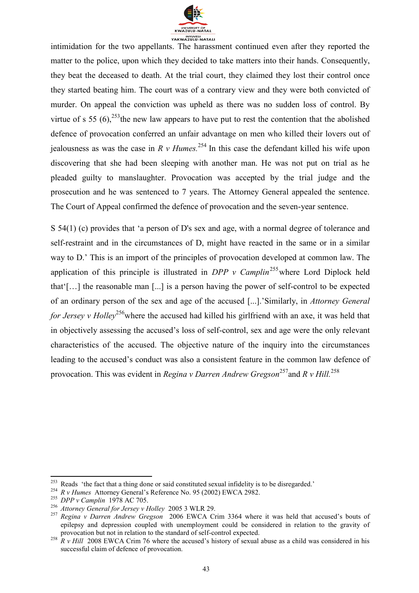

intimidation for the two appellants. The harassment continued even after they reported the matter to the police, upon which they decided to take matters into their hands. Consequently, they beat the deceased to death. At the trial court, they claimed they lost their control once they started beating him. The court was of a contrary view and they were both convicted of murder. On appeal the conviction was upheld as there was no sudden loss of control. By virtue of s 55  $(6)$ ,<sup>253</sup>the new law appears to have put to rest the contention that the abolished defence of provocation conferred an unfair advantage on men who killed their lovers out of jealousness as was the case in  $R \, v$  *Humes.*<sup>254</sup> In this case the defendant killed his wife upon discovering that she had been sleeping with another man. He was not put on trial as he pleaded guilty to manslaughter. Provocation was accepted by the trial judge and the prosecution and he was sentenced to 7 years. The Attorney General appealed the sentence. The Court of Appeal confirmed the defence of provocation and the seven-year sentence.

S 54(1) (c) provides that 'a person of D's sex and age, with a normal degree of tolerance and self-restraint and in the circumstances of D, might have reacted in the same or in a similar way to D.' This is an import of the principles of provocation developed at common law. The application of this principle is illustrated in  $DPP$  v Camplin<sup>255</sup> where Lord Diplock held that'[…] the reasonable man [...] is a person having the power of self-control to be expected of an ordinary person of the sex and age of the accused [...].'Similarly, in *Attorney General for Jersey v Holley*<sup>256</sup> where the accused had killed his girlfriend with an axe, it was held that in objectively assessing the accused's loss of self-control, sex and age were the only relevant characteristics of the accused. The objective nature of the inquiry into the circumstances leading to the accused's conduct was also a consistent feature in the common law defence of provocation. This was evident in *Regina v Darren Andrew Gregson*<sup>257</sup>and *R v Hill.*<sup>258</sup>

 $253$  Reads 'the fact that a thing done or said constituted sexual infidelity is to be disregarded.'

<sup>254</sup> *R v Humes* Attorney General's Reference No. 95 (2002) EWCA 2982.

<sup>255</sup> *DPP v Camplin* 1978 AC 705.

<sup>256</sup> *Attorney General for Jersey v Holley* 2005 3 WLR 29.

<sup>257</sup> *Regina v Darren Andrew Gregson* 2006 EWCA Crim 3364 where it was held that accused's bouts of epilepsy and depression coupled with unemployment could be considered in relation to the gravity of provocation but not in relation to the standard of self-control expected.

<sup>&</sup>lt;sup>258</sup> *R v Hill* 2008 EWCA Crim 76 where the accused's history of sexual abuse as a child was considered in his successful claim of defence of provocation.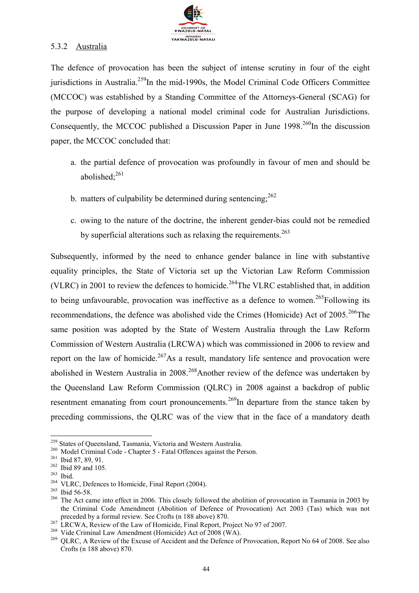

#### 5.3.2 Australia

The defence of provocation has been the subject of intense scrutiny in four of the eight jurisdictions in Australia.<sup>259</sup>In the mid-1990s, the Model Criminal Code Officers Committee (MCCOC) was established by a Standing Committee of the Attorneys-General (SCAG) for the purpose of developing a national model criminal code for Australian Jurisdictions. Consequently, the MCCOC published a Discussion Paper in June  $1998.<sup>260</sup>$ In the discussion paper, the MCCOC concluded that:

- a. the partial defence of provocation was profoundly in favour of men and should be abolished $^{261}$
- b. matters of culpability be determined during sentencing:  $262$
- c. owing to the nature of the doctrine, the inherent gender-bias could not be remedied by superficial alterations such as relaxing the requirements.<sup>263</sup>

Subsequently, informed by the need to enhance gender balance in line with substantive equality principles, the State of Victoria set up the Victorian Law Reform Commission (VLRC) in 2001 to review the defences to homicide.<sup>264</sup>The VLRC established that, in addition to being unfavourable, provocation was ineffective as a defence to women.<sup>265</sup>Following its recommendations, the defence was abolished vide the Crimes (Homicide) Act of  $2005$ <sup>266</sup>The same position was adopted by the State of Western Australia through the Law Reform Commission of Western Australia (LRCWA) which was commissioned in 2006 to review and report on the law of homicide.<sup>267</sup>As a result, mandatory life sentence and provocation were abolished in Western Australia in 2008.<sup>268</sup>Another review of the defence was undertaken by the Queensland Law Reform Commission (QLRC) in 2008 against a backdrop of public resentment emanating from court pronouncements.<sup>269</sup>In departure from the stance taken by preceding commissions, the QLRC was of the view that in the face of a mandatory death

<sup>&</sup>lt;sup>259</sup> States of Queensland, Tasmania, Victoria and Western Australia.

<sup>&</sup>lt;sup>260</sup> Model Criminal Code - Chapter 5 - Fatal Offences against the Person.

<sup>261</sup> Ibid 87, 89, 91.

<sup>262</sup> Ibid 89 and 105.

<sup>263</sup> Ibid.

<sup>&</sup>lt;sup>264</sup> VLRC, Defences to Homicide, Final Report (2004).

<sup>&</sup>lt;sup>265</sup> Ibid 56-58.

<sup>&</sup>lt;sup>266</sup> The Act came into effect in 2006. This closely followed the abolition of provocation in Tasmania in 2003 by the Criminal Code Amendment (Abolition of Defence of Provocation) Act 2003 (Tas) which was not preceded by a formal review. See Crofts (n 188 above) 870.

<sup>&</sup>lt;sup>267</sup> LRCWA, Review of the Law of Homicide, Final Report, Project No 97 of 2007.

<sup>&</sup>lt;sup>268</sup> Vide Criminal Law Amendment (Homicide) Act of 2008 (WA).

<sup>&</sup>lt;sup>269</sup> OLRC, A Review of the Excuse of Accident and the Defence of Provocation, Report No 64 of 2008. See also Crofts (n 188 above) 870.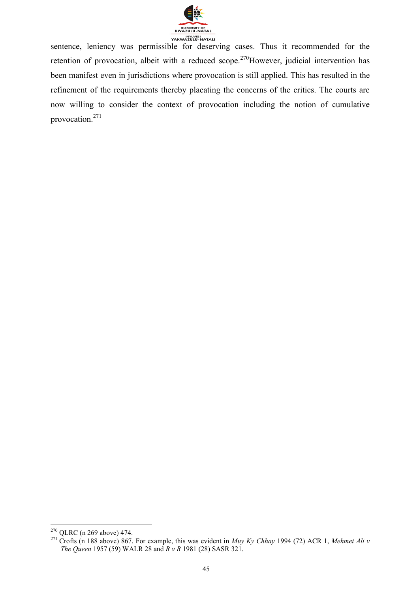

sentence, leniency was permissible for deserving cases. Thus it recommended for the retention of provocation, albeit with a reduced scope.<sup>270</sup>However, judicial intervention has been manifest even in jurisdictions where provocation is still applied. This has resulted in the refinement of the requirements thereby placating the concerns of the critics. The courts are now willing to consider the context of provocation including the notion of cumulative provocation.<sup>271</sup>

<sup>1</sup>  $^{270}$  QLRC (n 269 above) 474.

<sup>271</sup> Crofts (n 188 above) 867. For example, this was evident in *Muy Ky Chhay* 1994 (72) ACR 1, *Mehmet Ali v The Queen* 1957 (59) WALR 28 and *R v R* 1981 (28) SASR 321.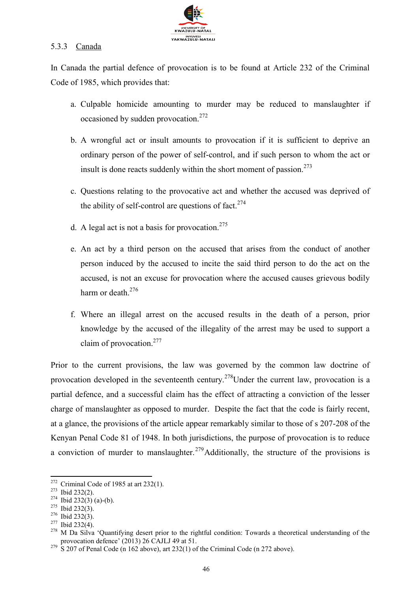

#### 5.3.3 Canada

In Canada the partial defence of provocation is to be found at Article 232 of the Criminal Code of 1985, which provides that:

- a. Culpable homicide amounting to murder may be reduced to manslaughter if occasioned by sudden provocation.<sup>272</sup>
- b. A wrongful act or insult amounts to provocation if it is sufficient to deprive an ordinary person of the power of self-control, and if such person to whom the act or insult is done reacts suddenly within the short moment of passion.<sup>273</sup>
- c. Questions relating to the provocative act and whether the accused was deprived of the ability of self-control are questions of fact. $274$
- d. A legal act is not a basis for provocation.<sup>275</sup>
- e. An act by a third person on the accused that arises from the conduct of another person induced by the accused to incite the said third person to do the act on the accused, is not an excuse for provocation where the accused causes grievous bodily harm or death  $276$
- f. Where an illegal arrest on the accused results in the death of a person, prior knowledge by the accused of the illegality of the arrest may be used to support a claim of provocation.<sup>277</sup>

Prior to the current provisions, the law was governed by the common law doctrine of provocation developed in the seventeenth century.<sup>278</sup>Under the current law, provocation is a partial defence, and a successful claim has the effect of attracting a conviction of the lesser charge of manslaughter as opposed to murder. Despite the fact that the code is fairly recent, at a glance, the provisions of the article appear remarkably similar to those of s 207-208 of the Kenyan Penal Code 81 of 1948. In both jurisdictions, the purpose of provocation is to reduce a conviction of murder to manslaughter.<sup>279</sup>Additionally, the structure of the provisions is

 $272$  Criminal Code of 1985 at art 232(1).

<sup>273</sup> Ibid 232(2).

 $274$  Ibid 232(3) (a)-(b).

<sup>275</sup> Ibid 232(3).

 $276$  Ibid 232(3).

 $277$  Ibid 232(4).

<sup>&</sup>lt;sup>278</sup> M Da Silva 'Quantifying desert prior to the rightful condition: Towards a theoretical understanding of the provocation defence' (2013) 26 CAJLJ 49 at 51.

 $2^{79}$  S 207 of Penal Code (n 162 above), art 232(1) of the Criminal Code (n 272 above).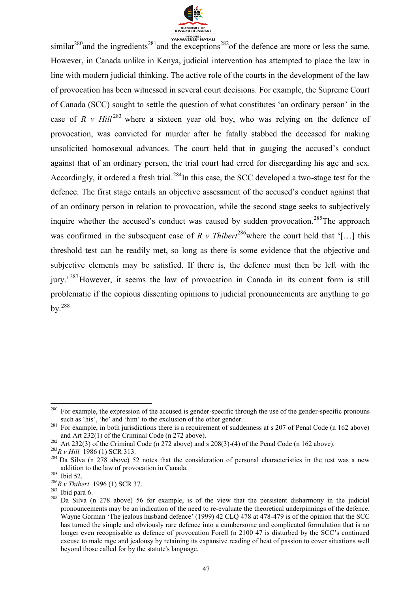

similar<sup>280</sup>and the ingredients<sup>281</sup>and the exceptions<sup>282</sup>of the defence are more or less the same. However, in Canada unlike in Kenya, judicial intervention has attempted to place the law in line with modern judicial thinking. The active role of the courts in the development of the law of provocation has been witnessed in several court decisions. For example, the Supreme Court of Canada (SCC) sought to settle the question of what constitutes 'an ordinary person' in the case of  $R \nu Hill^{283}$  where a sixteen year old boy, who was relying on the defence of provocation, was convicted for murder after he fatally stabbed the deceased for making unsolicited homosexual advances. The court held that in gauging the accused's conduct against that of an ordinary person, the trial court had erred for disregarding his age and sex. Accordingly, it ordered a fresh trial.<sup>284</sup>In this case, the SCC developed a two-stage test for the defence. The first stage entails an objective assessment of the accused's conduct against that of an ordinary person in relation to provocation, while the second stage seeks to subjectively inquire whether the accused's conduct was caused by sudden provocation.<sup>285</sup>The approach was confirmed in the subsequent case of *R v Thibert*<sup>286</sup> where the court held that '[…] this threshold test can be readily met, so long as there is some evidence that the objective and subjective elements may be satisfied. If there is, the defence must then be left with the jury.<sup>287</sup>However, it seems the law of provocation in Canada in its current form is still problematic if the copious dissenting opinions to judicial pronouncements are anything to go by.<sup>288</sup>

<sup>&</sup>lt;sup>280</sup> For example, the expression of the accused is gender-specific through the use of the gender-specific pronouns such as 'his', 'he' and 'him' to the exclusion of the other gender.

<sup>&</sup>lt;sup>281</sup> For example, in both jurisdictions there is a requirement of suddenness at s 207 of Penal Code (n 162 above) and Art 232(1) of the Criminal Code (n 272 above).

<sup>&</sup>lt;sup>282</sup> Art 232(3) of the Criminal Code (n 272 above) and s 208(3)-(4) of the Penal Code (n 162 above).

<sup>283</sup>*R v Hill* 1986 (1) SCR 313.

 $284$  Da Silva (n  $278$  above) 52 notes that the consideration of personal characteristics in the test was a new addition to the law of provocation in Canada.

<sup>285</sup> Ibid 52.

<sup>286</sup>*R v Thibert* 1996 (1) SCR 37.

 $287$  Ibid para 6.

<sup>&</sup>lt;sup>288</sup> Da Silva (n 278 above) 56 for example, is of the view that the persistent disharmony in the judicial pronouncements may be an indication of the need to re-evaluate the theoretical underpinnings of the defence. Wayne Gorman 'The jealous husband defence' (1999) 42 CLQ 478 at 478-479 is of the opinion that the SCC has turned the simple and obviously rare defence into a cumbersome and complicated formulation that is no longer even recognisable as defence of provocation Forell (n 2100 47 is disturbed by the SCC's continued excuse to male rage and jealousy by retaining its expansive reading of heat of passion to cover situations well beyond those called for by the statute's language.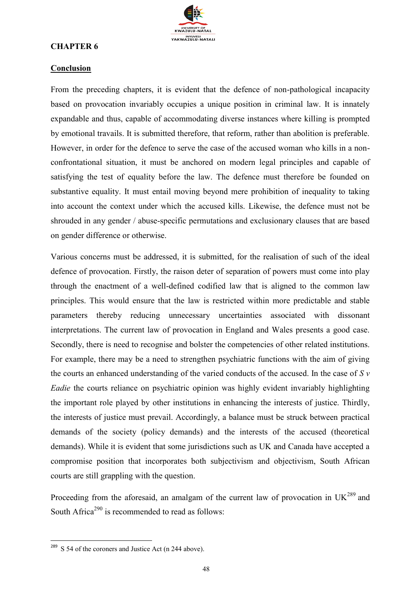

#### **CHAPTER 6**

#### **Conclusion**

From the preceding chapters, it is evident that the defence of non-pathological incapacity based on provocation invariably occupies a unique position in criminal law. It is innately expandable and thus, capable of accommodating diverse instances where killing is prompted by emotional travails. It is submitted therefore, that reform, rather than abolition is preferable. However, in order for the defence to serve the case of the accused woman who kills in a nonconfrontational situation, it must be anchored on modern legal principles and capable of satisfying the test of equality before the law. The defence must therefore be founded on substantive equality. It must entail moving beyond mere prohibition of inequality to taking into account the context under which the accused kills. Likewise, the defence must not be shrouded in any gender / abuse-specific permutations and exclusionary clauses that are based on gender difference or otherwise.

Various concerns must be addressed, it is submitted, for the realisation of such of the ideal defence of provocation. Firstly, the raison deter of separation of powers must come into play through the enactment of a well-defined codified law that is aligned to the common law principles. This would ensure that the law is restricted within more predictable and stable parameters thereby reducing unnecessary uncertainties associated with dissonant interpretations. The current law of provocation in England and Wales presents a good case. Secondly, there is need to recognise and bolster the competencies of other related institutions. For example, there may be a need to strengthen psychiatric functions with the aim of giving the courts an enhanced understanding of the varied conducts of the accused. In the case of *S v Eadie* the courts reliance on psychiatric opinion was highly evident invariably highlighting the important role played by other institutions in enhancing the interests of justice. Thirdly, the interests of justice must prevail. Accordingly, a balance must be struck between practical demands of the society (policy demands) and the interests of the accused (theoretical demands). While it is evident that some jurisdictions such as UK and Canada have accepted a compromise position that incorporates both subjectivism and objectivism, South African courts are still grappling with the question.

Proceeding from the aforesaid, an amalgam of the current law of provocation in  $UK^{289}$  and South Africa<sup>290</sup> is recommended to read as follows:

 $289$  S 54 of the coroners and Justice Act (n 244 above).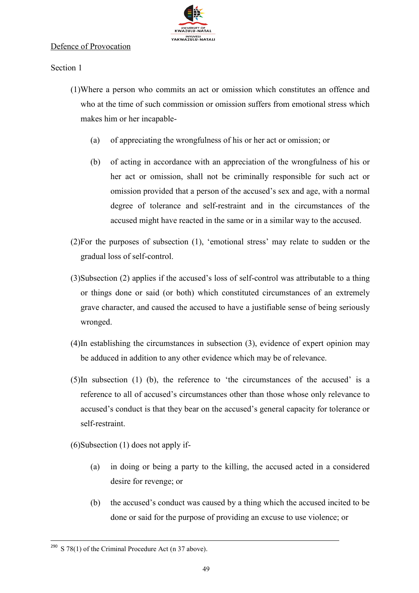

#### Defence of Provocation

Section 1

- (1)Where a person who commits an act or omission which constitutes an offence and who at the time of such commission or omission suffers from emotional stress which makes him or her incapable-
	- (a) of appreciating the wrongfulness of his or her act or omission; or
	- (b) of acting in accordance with an appreciation of the wrongfulness of his or her act or omission, shall not be criminally responsible for such act or omission provided that a person of the accused's sex and age, with a normal degree of tolerance and self-restraint and in the circumstances of the accused might have reacted in the same or in a similar way to the accused.
- (2)For the purposes of subsection (1), 'emotional stress' may relate to sudden or the gradual loss of self-control.
- (3)Subsection (2) applies if the accused's loss of self-control was attributable to a thing or things done or said (or both) which constituted circumstances of an extremely grave character, and caused the accused to have a justifiable sense of being seriously wronged.
- (4)In establishing the circumstances in subsection (3), evidence of expert opinion may be adduced in addition to any other evidence which may be of relevance.
- (5)In subsection (1) (b), the reference to 'the circumstances of the accused' is a reference to all of accused's circumstances other than those whose only relevance to accused's conduct is that they bear on the accused's general capacity for tolerance or self-restraint.

(6)Subsection (1) does not apply if-

- (a) in doing or being a party to the killing, the accused acted in a considered desire for revenge; or
- (b) the accused's conduct was caused by a thing which the accused incited to be done or said for the purpose of providing an excuse to use violence; or

 $290$  S 78(1) of the Criminal Procedure Act (n 37 above).